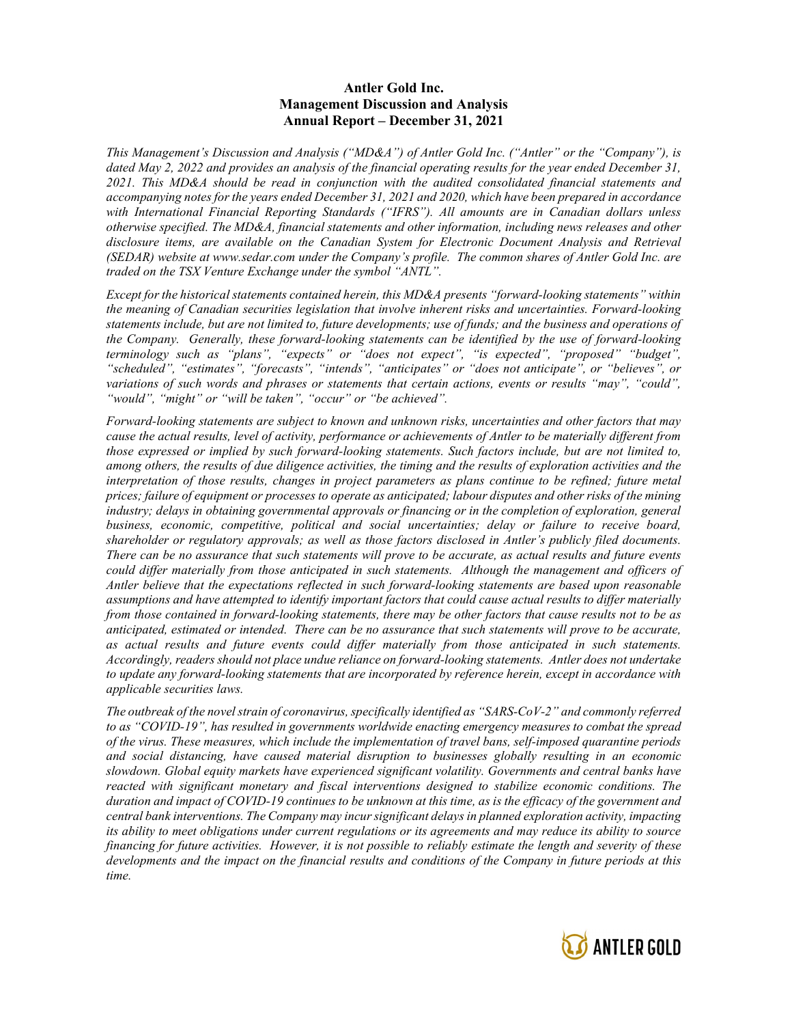#### Antler Gold Inc. Management Discussion and Analysis Annual Report – December 31, 2021

This Management's Discussion and Analysis ("MD&A") of Antler Gold Inc. ("Antler" or the "Company"), is dated May 2, 2022 and provides an analysis of the financial operating results for the year ended December 31, 2021. This MD&A should be read in conjunction with the audited consolidated financial statements and accompanying notes for the years ended December 31, 2021 and 2020, which have been prepared in accordance with International Financial Reporting Standards ("IFRS"). All amounts are in Canadian dollars unless otherwise specified. The MD&A, financial statements and other information, including news releases and other disclosure items, are available on the Canadian System for Electronic Document Analysis and Retrieval (SEDAR) website at www.sedar.com under the Company's profile. The common shares of Antler Gold Inc. are traded on the TSX Venture Exchange under the symbol "ANTL".

Except for the historical statements contained herein, this MD&A presents "forward-looking statements" within the meaning of Canadian securities legislation that involve inherent risks and uncertainties. Forward-looking statements include, but are not limited to, future developments; use of funds; and the business and operations of the Company. Generally, these forward-looking statements can be identified by the use of forward-looking terminology such as "plans", "expects" or "does not expect", "is expected", "proposed" "budget", "scheduled", "estimates", "forecasts", "intends", "anticipates" or "does not anticipate", or "believes", or variations of such words and phrases or statements that certain actions, events or results "may", "could", "would", "might" or "will be taken", "occur" or "be achieved".

Forward-looking statements are subject to known and unknown risks, uncertainties and other factors that may cause the actual results, level of activity, performance or achievements of Antler to be materially different from those expressed or implied by such forward-looking statements. Such factors include, but are not limited to, among others, the results of due diligence activities, the timing and the results of exploration activities and the interpretation of those results, changes in project parameters as plans continue to be refined; future metal prices; failure of equipment or processes to operate as anticipated; labour disputes and other risks of the mining industry; delays in obtaining governmental approvals or financing or in the completion of exploration, general business, economic, competitive, political and social uncertainties; delay or failure to receive board, shareholder or regulatory approvals; as well as those factors disclosed in Antler's publicly filed documents. There can be no assurance that such statements will prove to be accurate, as actual results and future events could differ materially from those anticipated in such statements. Although the management and officers of Antler believe that the expectations reflected in such forward-looking statements are based upon reasonable assumptions and have attempted to identify important factors that could cause actual results to differ materially from those contained in forward-looking statements, there may be other factors that cause results not to be as anticipated, estimated or intended. There can be no assurance that such statements will prove to be accurate, as actual results and future events could differ materially from those anticipated in such statements. Accordingly, readers should not place undue reliance on forward-looking statements. Antler does not undertake to update any forward-looking statements that are incorporated by reference herein, except in accordance with applicable securities laws.

The outbreak of the novel strain of coronavirus, specifically identified as "SARS-CoV-2" and commonly referred to as "COVID-19", has resulted in governments worldwide enacting emergency measures to combat the spread of the virus. These measures, which include the implementation of travel bans, self-imposed quarantine periods and social distancing, have caused material disruption to businesses globally resulting in an economic slowdown. Global equity markets have experienced significant volatility. Governments and central banks have reacted with significant monetary and fiscal interventions designed to stabilize economic conditions. The duration and impact of COVID-19 continues to be unknown at this time, as is the efficacy of the government and central bank interventions. The Company may incur significant delays in planned exploration activity, impacting its ability to meet obligations under current regulations or its agreements and may reduce its ability to source financing for future activities. However, it is not possible to reliably estimate the length and severity of these developments and the impact on the financial results and conditions of the Company in future periods at this time.

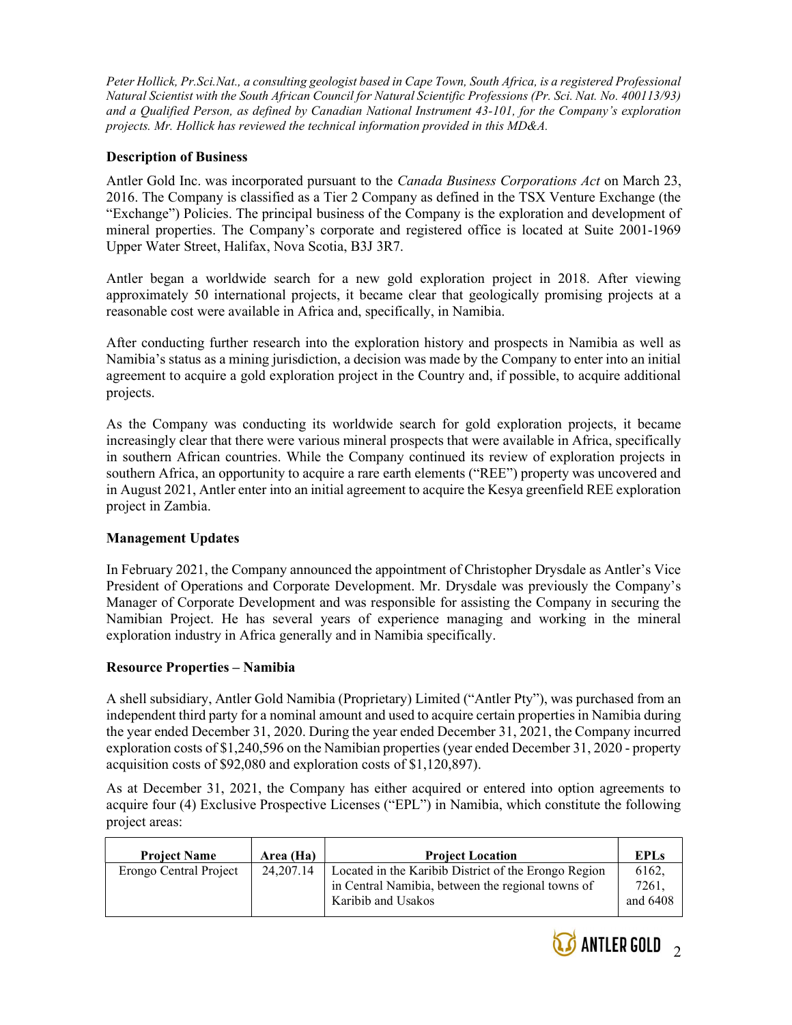Peter Hollick, Pr.Sci.Nat., a consulting geologist based in Cape Town, South Africa, is a registered Professional Natural Scientist with the South African Council for Natural Scientific Professions (Pr. Sci. Nat. No. 400113/93) and a Qualified Person, as defined by Canadian National Instrument 43-101, for the Company's exploration projects. Mr. Hollick has reviewed the technical information provided in this MD&A.

### Description of Business

Antler Gold Inc. was incorporated pursuant to the *Canada Business Corporations Act* on March 23, 2016. The Company is classified as a Tier 2 Company as defined in the TSX Venture Exchange (the "Exchange") Policies. The principal business of the Company is the exploration and development of mineral properties. The Company's corporate and registered office is located at Suite 2001-1969 Upper Water Street, Halifax, Nova Scotia, B3J 3R7.

Antler began a worldwide search for a new gold exploration project in 2018. After viewing approximately 50 international projects, it became clear that geologically promising projects at a reasonable cost were available in Africa and, specifically, in Namibia.

After conducting further research into the exploration history and prospects in Namibia as well as Namibia's status as a mining jurisdiction, a decision was made by the Company to enter into an initial agreement to acquire a gold exploration project in the Country and, if possible, to acquire additional projects.

As the Company was conducting its worldwide search for gold exploration projects, it became increasingly clear that there were various mineral prospects that were available in Africa, specifically in southern African countries. While the Company continued its review of exploration projects in southern Africa, an opportunity to acquire a rare earth elements ("REE") property was uncovered and in August 2021, Antler enter into an initial agreement to acquire the Kesya greenfield REE exploration project in Zambia.

### Management Updates

In February 2021, the Company announced the appointment of Christopher Drysdale as Antler's Vice President of Operations and Corporate Development. Mr. Drysdale was previously the Company's Manager of Corporate Development and was responsible for assisting the Company in securing the Namibian Project. He has several years of experience managing and working in the mineral exploration industry in Africa generally and in Namibia specifically.

### Resource Properties – Namibia

A shell subsidiary, Antler Gold Namibia (Proprietary) Limited ("Antler Pty"), was purchased from an independent third party for a nominal amount and used to acquire certain properties in Namibia during the year ended December 31, 2020. During the year ended December 31, 2021, the Company incurred exploration costs of \$1,240,596 on the Namibian properties (year ended December 31, 2020 - property acquisition costs of \$92,080 and exploration costs of \$1,120,897).

As at December 31, 2021, the Company has either acquired or entered into option agreements to acquire four (4) Exclusive Prospective Licenses ("EPL") in Namibia, which constitute the following project areas:

| <b>Project Name</b>    | Area (Ha)   | <b>Project Location</b>                                                                                                         | <b>EPLs</b>                |
|------------------------|-------------|---------------------------------------------------------------------------------------------------------------------------------|----------------------------|
| Erongo Central Project | 24, 207. 14 | Located in the Karibib District of the Erongo Region<br>in Central Namibia, between the regional towns of<br>Karibib and Usakos | 6162.<br>7261.<br>and 6408 |

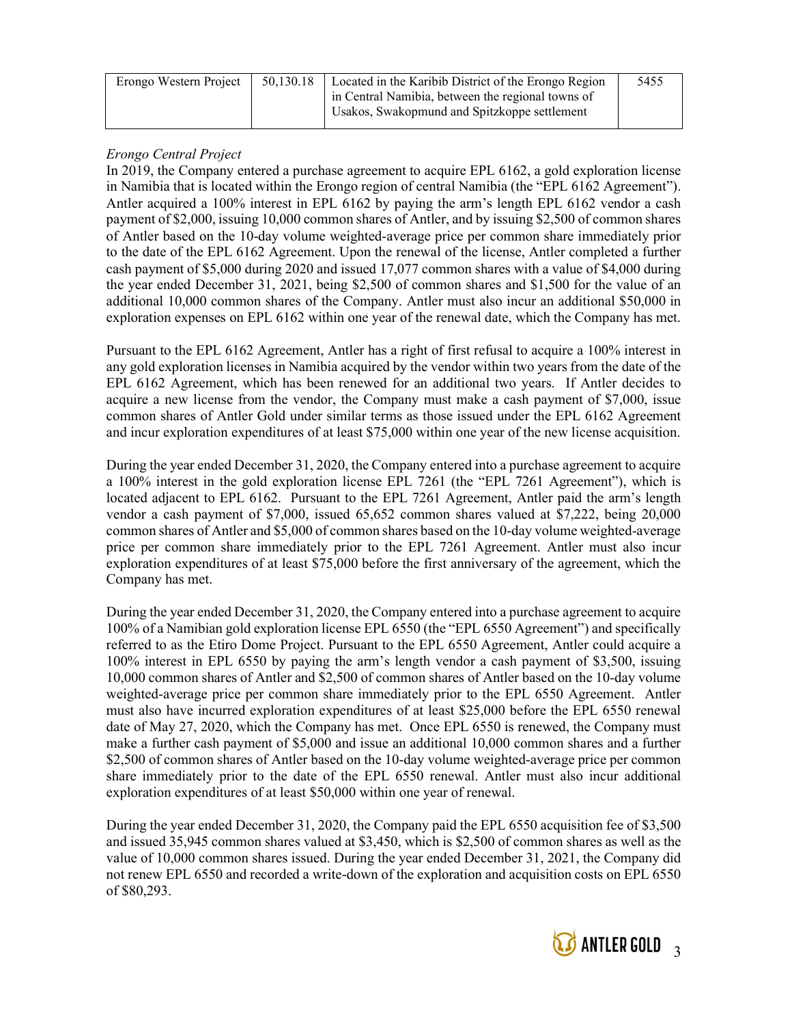| Erongo Western Project | 50,130.18   Located in the Karibib District of the Erongo Region | 5455 |
|------------------------|------------------------------------------------------------------|------|
|                        | in Central Namibia, between the regional towns of                |      |
|                        | Usakos, Swakopmund and Spitzkoppe settlement                     |      |
|                        |                                                                  |      |

### Erongo Central Project

In 2019, the Company entered a purchase agreement to acquire EPL 6162, a gold exploration license in Namibia that is located within the Erongo region of central Namibia (the "EPL 6162 Agreement"). Antler acquired a 100% interest in EPL 6162 by paying the arm's length EPL 6162 vendor a cash payment of \$2,000, issuing 10,000 common shares of Antler, and by issuing \$2,500 of common shares of Antler based on the 10-day volume weighted-average price per common share immediately prior to the date of the EPL 6162 Agreement. Upon the renewal of the license, Antler completed a further cash payment of \$5,000 during 2020 and issued 17,077 common shares with a value of \$4,000 during the year ended December 31, 2021, being \$2,500 of common shares and \$1,500 for the value of an additional 10,000 common shares of the Company. Antler must also incur an additional \$50,000 in exploration expenses on EPL 6162 within one year of the renewal date, which the Company has met.

Pursuant to the EPL 6162 Agreement, Antler has a right of first refusal to acquire a 100% interest in any gold exploration licenses in Namibia acquired by the vendor within two years from the date of the EPL 6162 Agreement, which has been renewed for an additional two years. If Antler decides to acquire a new license from the vendor, the Company must make a cash payment of \$7,000, issue common shares of Antler Gold under similar terms as those issued under the EPL 6162 Agreement and incur exploration expenditures of at least \$75,000 within one year of the new license acquisition.

During the year ended December 31, 2020, the Company entered into a purchase agreement to acquire a 100% interest in the gold exploration license EPL 7261 (the "EPL 7261 Agreement"), which is located adjacent to EPL 6162. Pursuant to the EPL 7261 Agreement, Antler paid the arm's length vendor a cash payment of \$7,000, issued 65,652 common shares valued at \$7,222, being 20,000 common shares of Antler and \$5,000 of common shares based on the 10-day volume weighted-average price per common share immediately prior to the EPL 7261 Agreement. Antler must also incur exploration expenditures of at least \$75,000 before the first anniversary of the agreement, which the Company has met.

During the year ended December 31, 2020, the Company entered into a purchase agreement to acquire 100% of a Namibian gold exploration license EPL 6550 (the "EPL 6550 Agreement") and specifically referred to as the Etiro Dome Project. Pursuant to the EPL 6550 Agreement, Antler could acquire a 100% interest in EPL 6550 by paying the arm's length vendor a cash payment of \$3,500, issuing 10,000 common shares of Antler and \$2,500 of common shares of Antler based on the 10-day volume weighted-average price per common share immediately prior to the EPL 6550 Agreement. Antler must also have incurred exploration expenditures of at least \$25,000 before the EPL 6550 renewal date of May 27, 2020, which the Company has met. Once EPL 6550 is renewed, the Company must make a further cash payment of \$5,000 and issue an additional 10,000 common shares and a further \$2,500 of common shares of Antler based on the 10-day volume weighted-average price per common share immediately prior to the date of the EPL 6550 renewal. Antler must also incur additional exploration expenditures of at least \$50,000 within one year of renewal.

During the year ended December 31, 2020, the Company paid the EPL 6550 acquisition fee of \$3,500 and issued 35,945 common shares valued at \$3,450, which is \$2,500 of common shares as well as the value of 10,000 common shares issued. During the year ended December 31, 2021, the Company did not renew EPL 6550 and recorded a write-down of the exploration and acquisition costs on EPL 6550 of \$80,293.

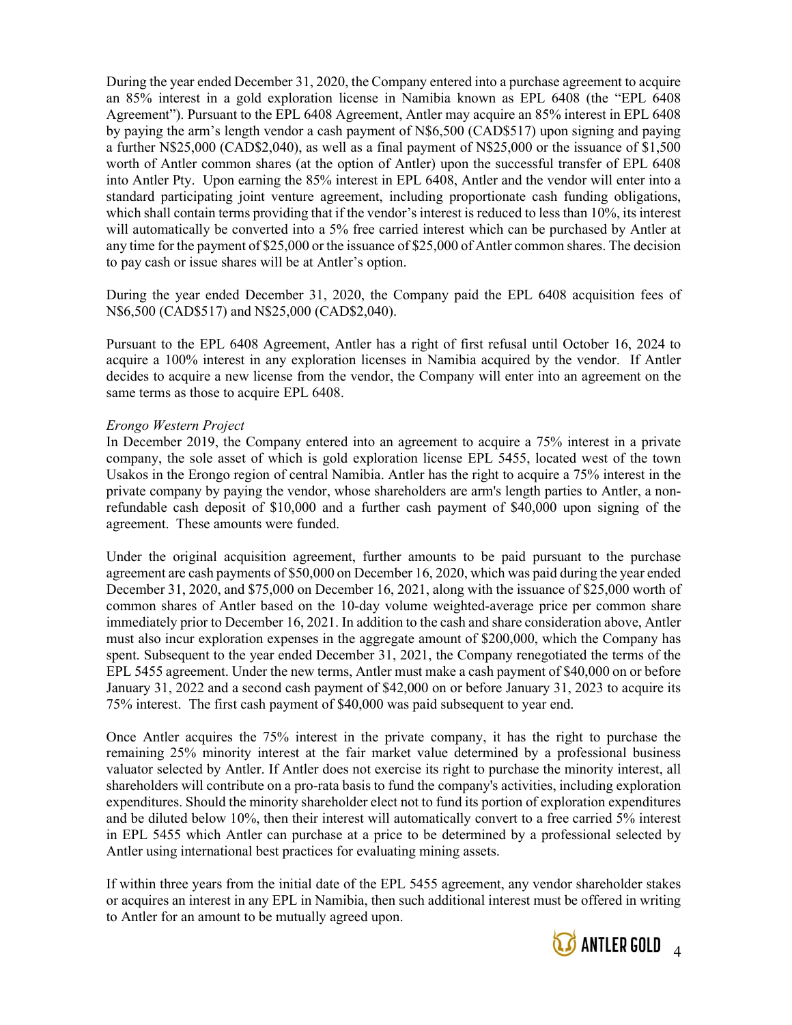During the year ended December 31, 2020, the Company entered into a purchase agreement to acquire an 85% interest in a gold exploration license in Namibia known as EPL 6408 (the "EPL 6408 Agreement"). Pursuant to the EPL 6408 Agreement, Antler may acquire an 85% interest in EPL 6408 by paying the arm's length vendor a cash payment of N\$6,500 (CAD\$517) upon signing and paying a further N\$25,000 (CAD\$2,040), as well as a final payment of N\$25,000 or the issuance of \$1,500 worth of Antler common shares (at the option of Antler) upon the successful transfer of EPL 6408 into Antler Pty. Upon earning the 85% interest in EPL 6408, Antler and the vendor will enter into a standard participating joint venture agreement, including proportionate cash funding obligations, which shall contain terms providing that if the vendor's interest is reduced to less than 10%, its interest will automatically be converted into a 5% free carried interest which can be purchased by Antler at any time for the payment of \$25,000 or the issuance of \$25,000 of Antler common shares. The decision to pay cash or issue shares will be at Antler's option.

During the year ended December 31, 2020, the Company paid the EPL 6408 acquisition fees of N\$6,500 (CAD\$517) and N\$25,000 (CAD\$2,040).

Pursuant to the EPL 6408 Agreement, Antler has a right of first refusal until October 16, 2024 to acquire a 100% interest in any exploration licenses in Namibia acquired by the vendor. If Antler decides to acquire a new license from the vendor, the Company will enter into an agreement on the same terms as those to acquire EPL 6408.

#### Erongo Western Project

In December 2019, the Company entered into an agreement to acquire a 75% interest in a private company, the sole asset of which is gold exploration license EPL 5455, located west of the town Usakos in the Erongo region of central Namibia. Antler has the right to acquire a 75% interest in the private company by paying the vendor, whose shareholders are arm's length parties to Antler, a nonrefundable cash deposit of \$10,000 and a further cash payment of \$40,000 upon signing of the agreement. These amounts were funded.

Under the original acquisition agreement, further amounts to be paid pursuant to the purchase agreement are cash payments of \$50,000 on December 16, 2020, which was paid during the year ended December 31, 2020, and \$75,000 on December 16, 2021, along with the issuance of \$25,000 worth of common shares of Antler based on the 10-day volume weighted-average price per common share immediately prior to December 16, 2021. In addition to the cash and share consideration above, Antler must also incur exploration expenses in the aggregate amount of \$200,000, which the Company has spent. Subsequent to the year ended December 31, 2021, the Company renegotiated the terms of the EPL 5455 agreement. Under the new terms, Antler must make a cash payment of \$40,000 on or before January 31, 2022 and a second cash payment of \$42,000 on or before January 31, 2023 to acquire its 75% interest. The first cash payment of \$40,000 was paid subsequent to year end.

Once Antler acquires the 75% interest in the private company, it has the right to purchase the remaining 25% minority interest at the fair market value determined by a professional business valuator selected by Antler. If Antler does not exercise its right to purchase the minority interest, all shareholders will contribute on a pro-rata basis to fund the company's activities, including exploration expenditures. Should the minority shareholder elect not to fund its portion of exploration expenditures and be diluted below 10%, then their interest will automatically convert to a free carried 5% interest in EPL 5455 which Antler can purchase at a price to be determined by a professional selected by Antler using international best practices for evaluating mining assets.

If within three years from the initial date of the EPL 5455 agreement, any vendor shareholder stakes or acquires an interest in any EPL in Namibia, then such additional interest must be offered in writing to Antler for an amount to be mutually agreed upon.

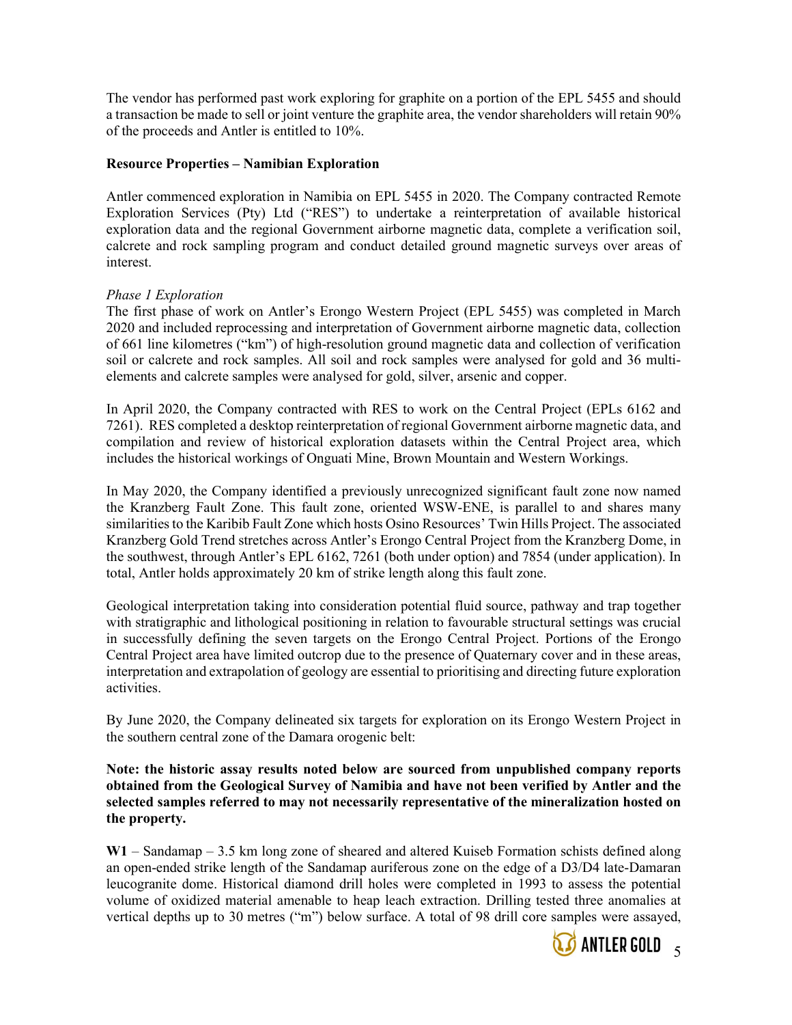The vendor has performed past work exploring for graphite on a portion of the EPL 5455 and should a transaction be made to sell or joint venture the graphite area, the vendor shareholders will retain 90% of the proceeds and Antler is entitled to 10%.

### Resource Properties – Namibian Exploration

Antler commenced exploration in Namibia on EPL 5455 in 2020. The Company contracted Remote Exploration Services (Pty) Ltd ("RES") to undertake a reinterpretation of available historical exploration data and the regional Government airborne magnetic data, complete a verification soil, calcrete and rock sampling program and conduct detailed ground magnetic surveys over areas of interest.

#### Phase 1 Exploration

The first phase of work on Antler's Erongo Western Project (EPL 5455) was completed in March 2020 and included reprocessing and interpretation of Government airborne magnetic data, collection of 661 line kilometres ("km") of high-resolution ground magnetic data and collection of verification soil or calcrete and rock samples. All soil and rock samples were analysed for gold and 36 multielements and calcrete samples were analysed for gold, silver, arsenic and copper.

In April 2020, the Company contracted with RES to work on the Central Project (EPLs 6162 and 7261). RES completed a desktop reinterpretation of regional Government airborne magnetic data, and compilation and review of historical exploration datasets within the Central Project area, which includes the historical workings of Onguati Mine, Brown Mountain and Western Workings.

In May 2020, the Company identified a previously unrecognized significant fault zone now named the Kranzberg Fault Zone. This fault zone, oriented WSW-ENE, is parallel to and shares many similarities to the Karibib Fault Zone which hosts Osino Resources' Twin Hills Project. The associated Kranzberg Gold Trend stretches across Antler's Erongo Central Project from the Kranzberg Dome, in the southwest, through Antler's EPL 6162, 7261 (both under option) and 7854 (under application). In total, Antler holds approximately 20 km of strike length along this fault zone.

Geological interpretation taking into consideration potential fluid source, pathway and trap together with stratigraphic and lithological positioning in relation to favourable structural settings was crucial in successfully defining the seven targets on the Erongo Central Project. Portions of the Erongo Central Project area have limited outcrop due to the presence of Quaternary cover and in these areas, interpretation and extrapolation of geology are essential to prioritising and directing future exploration activities.

By June 2020, the Company delineated six targets for exploration on its Erongo Western Project in the southern central zone of the Damara orogenic belt:

Note: the historic assay results noted below are sourced from unpublished company reports obtained from the Geological Survey of Namibia and have not been verified by Antler and the selected samples referred to may not necessarily representative of the mineralization hosted on the property.

W1 – Sandamap – 3.5 km long zone of sheared and altered Kuiseb Formation schists defined along an open-ended strike length of the Sandamap auriferous zone on the edge of a D3/D4 late‐Damaran leucogranite dome. Historical diamond drill holes were completed in 1993 to assess the potential volume of oxidized material amenable to heap leach extraction. Drilling tested three anomalies at vertical depths up to 30 metres ("m") below surface. A total of 98 drill core samples were assayed,

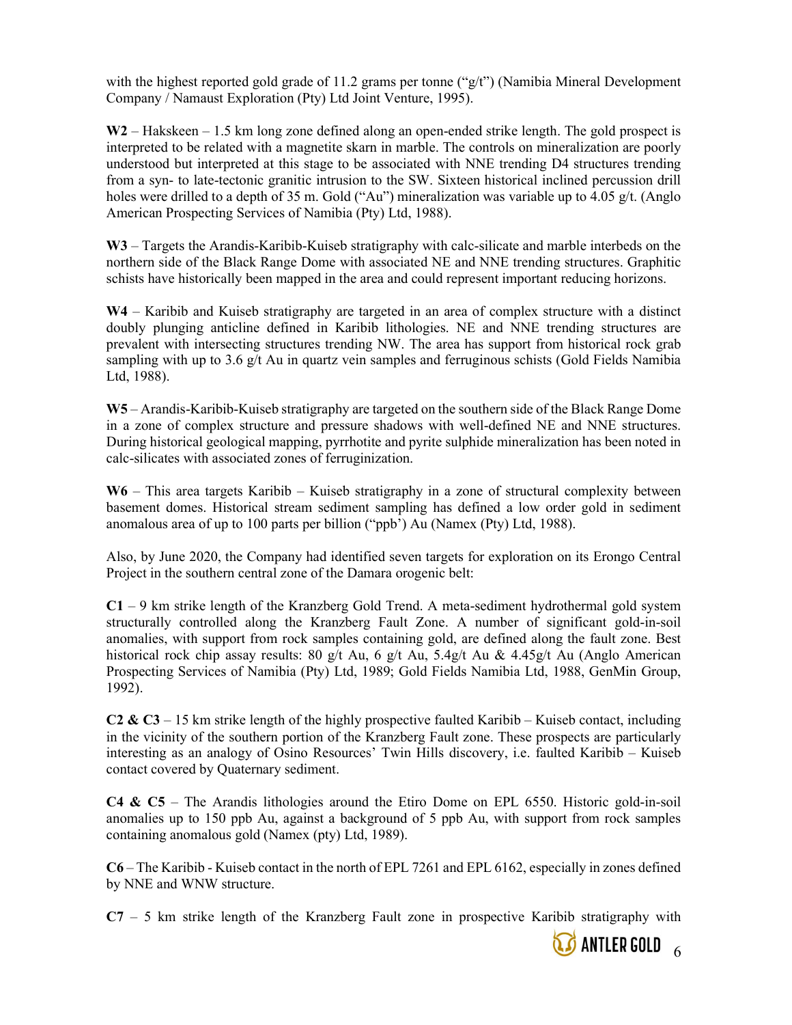with the highest reported gold grade of 11.2 grams per tonne (" $g/t$ ") (Namibia Mineral Development Company / Namaust Exploration (Pty) Ltd Joint Venture, 1995).

 $W2$  – Hakskeen – 1.5 km long zone defined along an open-ended strike length. The gold prospect is interpreted to be related with a magnetite skarn in marble. The controls on mineralization are poorly understood but interpreted at this stage to be associated with NNE trending D4 structures trending from a syn- to late-tectonic granitic intrusion to the SW. Sixteen historical inclined percussion drill holes were drilled to a depth of 35 m. Gold ("Au") mineralization was variable up to 4.05 g/t. (Anglo American Prospecting Services of Namibia (Pty) Ltd, 1988).

W3 – Targets the Arandis-Karibib-Kuiseb stratigraphy with calc-silicate and marble interbeds on the northern side of the Black Range Dome with associated NE and NNE trending structures. Graphitic schists have historically been mapped in the area and could represent important reducing horizons.

W4 – Karibib and Kuiseb stratigraphy are targeted in an area of complex structure with a distinct doubly plunging anticline defined in Karibib lithologies. NE and NNE trending structures are prevalent with intersecting structures trending NW. The area has support from historical rock grab sampling with up to 3.6  $g/t$  Au in quartz vein samples and ferruginous schists (Gold Fields Namibia Ltd, 1988).

W5 – Arandis-Karibib-Kuiseb stratigraphy are targeted on the southern side of the Black Range Dome in a zone of complex structure and pressure shadows with well-defined NE and NNE structures. During historical geological mapping, pyrrhotite and pyrite sulphide mineralization has been noted in calc-silicates with associated zones of ferruginization.

W6 – This area targets Karibib – Kuiseb stratigraphy in a zone of structural complexity between basement domes. Historical stream sediment sampling has defined a low order gold in sediment anomalous area of up to 100 parts per billion ("ppb') Au (Namex (Pty) Ltd, 1988).

Also, by June 2020, the Company had identified seven targets for exploration on its Erongo Central Project in the southern central zone of the Damara orogenic belt:

 $C1 - 9$  km strike length of the Kranzberg Gold Trend. A meta-sediment hydrothermal gold system structurally controlled along the Kranzberg Fault Zone. A number of significant gold-in-soil anomalies, with support from rock samples containing gold, are defined along the fault zone. Best historical rock chip assay results: 80 g/t Au, 6 g/t Au, 5.4g/t Au & 4.45g/t Au (Anglo American Prospecting Services of Namibia (Pty) Ltd, 1989; Gold Fields Namibia Ltd, 1988, GenMin Group, 1992).

C2 & C3 – 15 km strike length of the highly prospective faulted Karibib – Kuiseb contact, including in the vicinity of the southern portion of the Kranzberg Fault zone. These prospects are particularly interesting as an analogy of Osino Resources' Twin Hills discovery, i.e. faulted Karibib – Kuiseb contact covered by Quaternary sediment.

 $C4 \& C5$  – The Arandis lithologies around the Etiro Dome on EPL 6550. Historic gold-in-soil anomalies up to 150 ppb Au, against a background of 5 ppb Au, with support from rock samples containing anomalous gold (Namex (pty) Ltd, 1989).

C6 – The Karibib - Kuiseb contact in the north of EPL 7261 and EPL 6162, especially in zones defined by NNE and WNW structure.

 $C7 - 5$  km strike length of the Kranzberg Fault zone in prospective Karibib stratigraphy with

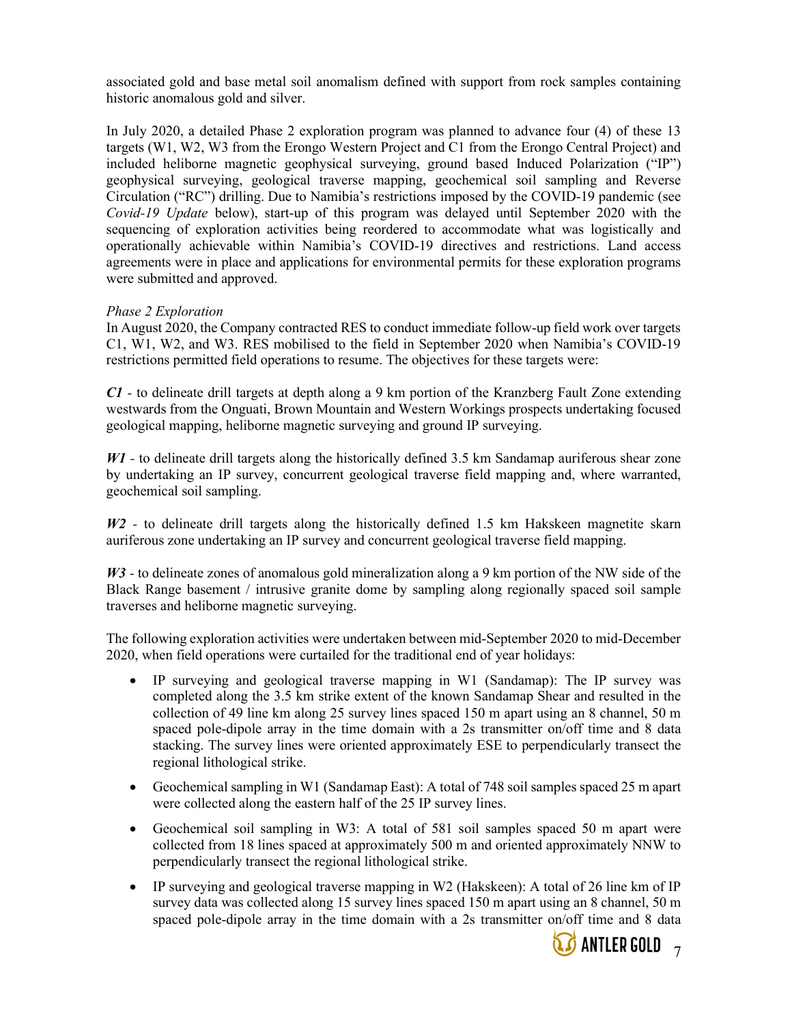associated gold and base metal soil anomalism defined with support from rock samples containing historic anomalous gold and silver.

In July 2020, a detailed Phase 2 exploration program was planned to advance four (4) of these 13 targets (W1, W2, W3 from the Erongo Western Project and C1 from the Erongo Central Project) and included heliborne magnetic geophysical surveying, ground based Induced Polarization ("IP") geophysical surveying, geological traverse mapping, geochemical soil sampling and Reverse Circulation ("RC") drilling. Due to Namibia's restrictions imposed by the COVID-19 pandemic (see Covid-19 Update below), start-up of this program was delayed until September 2020 with the sequencing of exploration activities being reordered to accommodate what was logistically and operationally achievable within Namibia's COVID-19 directives and restrictions. Land access agreements were in place and applications for environmental permits for these exploration programs were submitted and approved.

#### Phase 2 Exploration

In August 2020, the Company contracted RES to conduct immediate follow‐up field work over targets C1, W1, W2, and W3. RES mobilised to the field in September 2020 when Namibia's COVID-19 restrictions permitted field operations to resume. The objectives for these targets were:

C1 - to delineate drill targets at depth along a 9 km portion of the Kranzberg Fault Zone extending westwards from the Onguati, Brown Mountain and Western Workings prospects undertaking focused geological mapping, heliborne magnetic surveying and ground IP surveying.

W<sub>1</sub> - to delineate drill targets along the historically defined 3.5 km Sandamap auriferous shear zone by undertaking an IP survey, concurrent geological traverse field mapping and, where warranted, geochemical soil sampling.

 $W2$  - to delineate drill targets along the historically defined 1.5 km Hakskeen magnetite skarn auriferous zone undertaking an IP survey and concurrent geological traverse field mapping.

W<sub>3</sub> - to delineate zones of anomalous gold mineralization along a 9 km portion of the NW side of the Black Range basement / intrusive granite dome by sampling along regionally spaced soil sample traverses and heliborne magnetic surveying.

The following exploration activities were undertaken between mid-September 2020 to mid-December 2020, when field operations were curtailed for the traditional end of year holidays:

- IP surveying and geological traverse mapping in W1 (Sandamap): The IP survey was completed along the 3.5 km strike extent of the known Sandamap Shear and resulted in the collection of 49 line km along 25 survey lines spaced 150 m apart using an 8 channel, 50 m spaced pole-dipole array in the time domain with a 2s transmitter on/off time and 8 data stacking. The survey lines were oriented approximately ESE to perpendicularly transect the regional lithological strike.
- Geochemical sampling in W1 (Sandamap East): A total of 748 soil samples spaced 25 m apart were collected along the eastern half of the 25 IP survey lines.
- Geochemical soil sampling in W3: A total of 581 soil samples spaced 50 m apart were collected from 18 lines spaced at approximately 500 m and oriented approximately NNW to perpendicularly transect the regional lithological strike.
- IP surveying and geological traverse mapping in W2 (Hakskeen): A total of 26 line km of IP survey data was collected along 15 survey lines spaced 150 m apart using an 8 channel, 50 m spaced pole-dipole array in the time domain with a 2s transmitter on/off time and 8 data

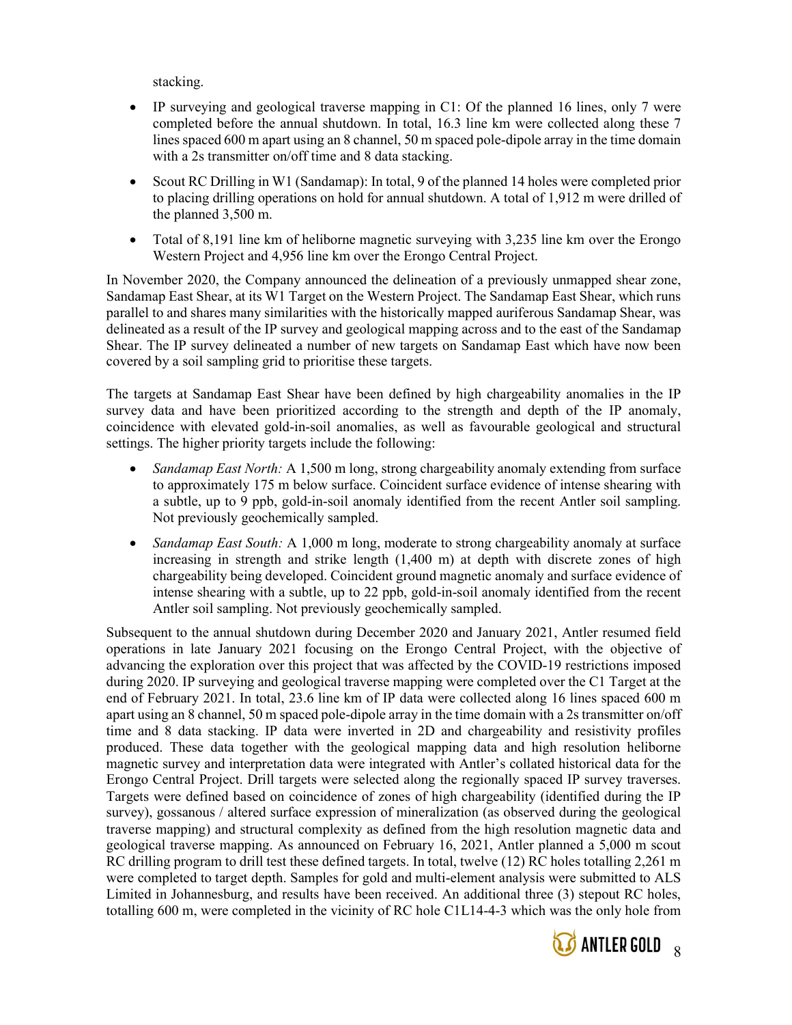stacking.

- IP surveying and geological traverse mapping in C1: Of the planned 16 lines, only 7 were completed before the annual shutdown. In total, 16.3 line km were collected along these 7 lines spaced 600 m apart using an 8 channel, 50 m spaced pole-dipole array in the time domain with a 2s transmitter on/off time and 8 data stacking.
- Scout RC Drilling in W1 (Sandamap): In total, 9 of the planned 14 holes were completed prior to placing drilling operations on hold for annual shutdown. A total of 1,912 m were drilled of the planned 3,500 m.
- Total of 8,191 line km of heliborne magnetic surveying with 3,235 line km over the Erongo Western Project and 4,956 line km over the Erongo Central Project.

In November 2020, the Company announced the delineation of a previously unmapped shear zone, Sandamap East Shear, at its W1 Target on the Western Project. The Sandamap East Shear, which runs parallel to and shares many similarities with the historically mapped auriferous Sandamap Shear, was delineated as a result of the IP survey and geological mapping across and to the east of the Sandamap Shear. The IP survey delineated a number of new targets on Sandamap East which have now been covered by a soil sampling grid to prioritise these targets.

The targets at Sandamap East Shear have been defined by high chargeability anomalies in the IP survey data and have been prioritized according to the strength and depth of the IP anomaly, coincidence with elevated gold-in-soil anomalies, as well as favourable geological and structural settings. The higher priority targets include the following:

- Sandamap East North: A 1,500 m long, strong chargeability anomaly extending from surface to approximately 175 m below surface. Coincident surface evidence of intense shearing with a subtle, up to 9 ppb, gold-in-soil anomaly identified from the recent Antler soil sampling. Not previously geochemically sampled.
- Sandamap East South: A 1,000 m long, moderate to strong chargeability anomaly at surface increasing in strength and strike length (1,400 m) at depth with discrete zones of high chargeability being developed. Coincident ground magnetic anomaly and surface evidence of intense shearing with a subtle, up to 22 ppb, gold-in-soil anomaly identified from the recent Antler soil sampling. Not previously geochemically sampled.

Subsequent to the annual shutdown during December 2020 and January 2021, Antler resumed field operations in late January 2021 focusing on the Erongo Central Project, with the objective of advancing the exploration over this project that was affected by the COVID-19 restrictions imposed during 2020. IP surveying and geological traverse mapping were completed over the C1 Target at the end of February 2021. In total, 23.6 line km of IP data were collected along 16 lines spaced 600 m apart using an 8 channel, 50 m spaced pole-dipole array in the time domain with a 2s transmitter on/off time and 8 data stacking. IP data were inverted in 2D and chargeability and resistivity profiles produced. These data together with the geological mapping data and high resolution heliborne magnetic survey and interpretation data were integrated with Antler's collated historical data for the Erongo Central Project. Drill targets were selected along the regionally spaced IP survey traverses. Targets were defined based on coincidence of zones of high chargeability (identified during the IP survey), gossanous / altered surface expression of mineralization (as observed during the geological traverse mapping) and structural complexity as defined from the high resolution magnetic data and geological traverse mapping. As announced on February 16, 2021, Antler planned a 5,000 m scout RC drilling program to drill test these defined targets. In total, twelve (12) RC holes totalling 2,261 m were completed to target depth. Samples for gold and multi-element analysis were submitted to ALS Limited in Johannesburg, and results have been received. An additional three (3) stepout RC holes, totalling 600 m, were completed in the vicinity of RC hole C1L14-4-3 which was the only hole from

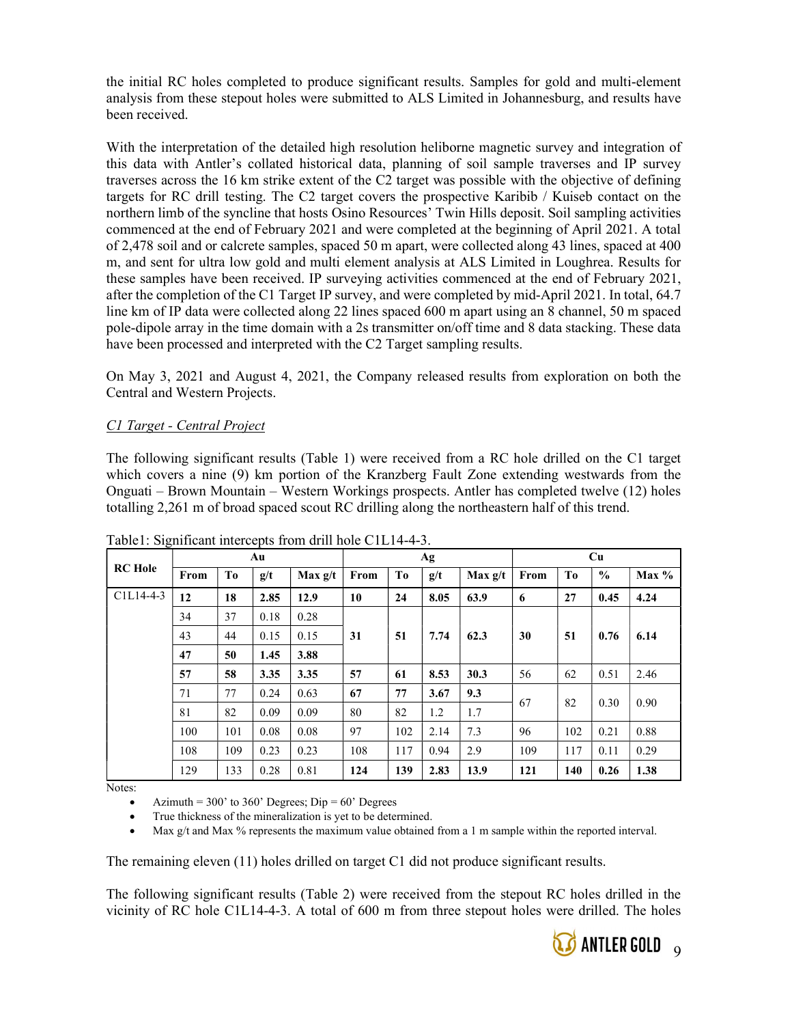the initial RC holes completed to produce significant results. Samples for gold and multi-element analysis from these stepout holes were submitted to ALS Limited in Johannesburg, and results have been received.

With the interpretation of the detailed high resolution heliborne magnetic survey and integration of this data with Antler's collated historical data, planning of soil sample traverses and IP survey traverses across the 16 km strike extent of the C2 target was possible with the objective of defining targets for RC drill testing. The C2 target covers the prospective Karibib / Kuiseb contact on the northern limb of the syncline that hosts Osino Resources' Twin Hills deposit. Soil sampling activities commenced at the end of February 2021 and were completed at the beginning of April 2021. A total of 2,478 soil and or calcrete samples, spaced 50 m apart, were collected along 43 lines, spaced at 400 m, and sent for ultra low gold and multi element analysis at ALS Limited in Loughrea. Results for these samples have been received. IP surveying activities commenced at the end of February 2021, after the completion of the C1 Target IP survey, and were completed by mid-April 2021. In total, 64.7 line km of IP data were collected along 22 lines spaced 600 m apart using an 8 channel, 50 m spaced pole-dipole array in the time domain with a 2s transmitter on/off time and 8 data stacking. These data have been processed and interpreted with the C2 Target sampling results.

On May 3, 2021 and August 4, 2021, the Company released results from exploration on both the Central and Western Projects.

### C1 Target - Central Project

The following significant results (Table 1) were received from a RC hole drilled on the C1 target which covers a nine (9) km portion of the Kranzberg Fault Zone extending westwards from the Onguati – Brown Mountain – Western Workings prospects. Antler has completed twelve (12) holes totalling 2,261 m of broad spaced scout RC drilling along the northeastern half of this trend.

|                |      |     | Au   |           |          |              | Ag   |           | Cu   |      |               |         |
|----------------|------|-----|------|-----------|----------|--------------|------|-----------|------|------|---------------|---------|
| <b>RC</b> Hole | From | To  | g/t  | Max $g/t$ | From     | Tо           | g/t  | Max $g/t$ | From | To   | $\frac{0}{0}$ | $Max\%$ |
| $C1L14-4-3$    | 12   | 18  | 2.85 | 12.9      | 10       | 24           | 8.05 | 63.9      | 6    | 27   | 0.45          | 4.24    |
|                | 34   | 37  | 0.18 | 0.28      |          |              |      |           |      |      |               |         |
|                | 43   | 44  | 0.15 | 0.15      | 51<br>31 | 7.74<br>62.3 |      | 30        | 51   | 0.76 | 6.14          |         |
|                | 47   | 50  | 1.45 | 3.88      |          |              |      |           |      |      |               |         |
|                | 57   | 58  | 3.35 | 3.35      | 57       | 61           | 8.53 | 30.3      | 56   | 62   | 0.51          | 2.46    |
|                | 71   | 77  | 0.24 | 0.63      | 67       | 77           | 3.67 | 9.3       | 67   | 82   | 0.30          |         |
|                | 81   | 82  | 0.09 | 0.09      | 80       | 82           | 1.2  | 1.7       |      |      |               | 0.90    |
|                | 100  | 101 | 0.08 | 0.08      | 97       | 102          | 2.14 | 7.3       | 96   | 102  | 0.21          | 0.88    |
|                | 108  | 109 | 0.23 | 0.23      | 108      | 117          | 0.94 | 2.9       | 109  | 117  | 0.11          | 0.29    |
|                | 129  | 133 | 0.28 | 0.81      | 124      | 139          | 2.83 | 13.9      | 121  | 140  | 0.26          | 1.38    |

Table1: Significant intercepts from drill hole C1L14-4-3.

Notes:

Azimuth =  $300'$  to  $360'$  Degrees; Dip =  $60'$  Degrees

True thickness of the mineralization is yet to be determined.

Max g/t and Max % represents the maximum value obtained from a 1 m sample within the reported interval.

The remaining eleven (11) holes drilled on target C1 did not produce significant results.

The following significant results (Table 2) were received from the stepout RC holes drilled in the vicinity of RC hole C1L14-4-3. A total of 600 m from three stepout holes were drilled. The holes

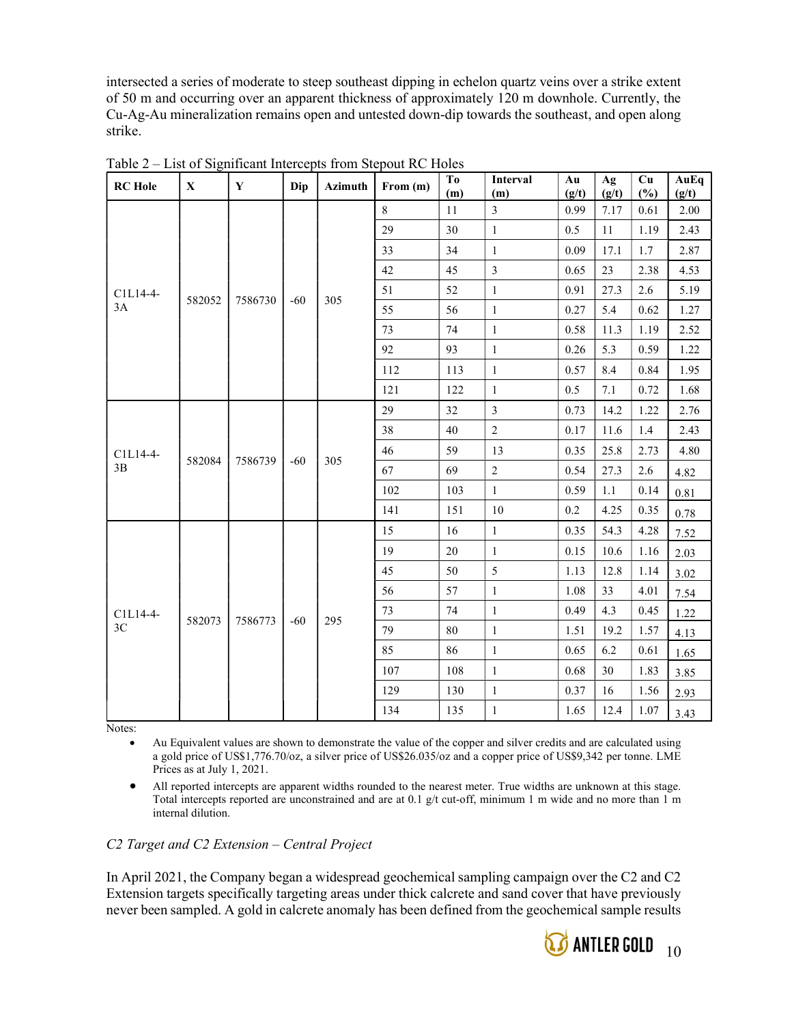intersected a series of moderate to steep southeast dipping in echelon quartz veins over a strike extent of 50 m and occurring over an apparent thickness of approximately 120 m downhole. Currently, the Cu-Ag-Au mineralization remains open and untested down-dip towards the southeast, and open along strike.

| <b>RC</b> Hole | $\mathbf X$ | $\mathbf Y$ | Dip   | Azimuth | From (m) | To<br>(m) | Interval<br>(m)         | Au<br>(g/t) | Ag<br>(g/t) | Cu<br>(%) | AuEq<br>(g/t) |
|----------------|-------------|-------------|-------|---------|----------|-----------|-------------------------|-------------|-------------|-----------|---------------|
|                |             |             |       |         | 8        | $11\,$    | $\overline{\mathbf{3}}$ | 0.99        | 7.17        | 0.61      | 2.00          |
|                |             |             |       |         | 29       | 30        | $\mathbf{1}$            | 0.5         | 11          | 1.19      | 2.43          |
|                |             |             |       |         | 33       | 34        | $\mathbf{1}$            | 0.09        | 17.1        | 1.7       | 2.87          |
|                |             |             |       |         | 42       | 45        | $\overline{3}$          | 0.65        | 23          | 2.38      | 4.53          |
| C1L14-4-       |             |             |       |         | 51       | 52        | $\,1\,$                 | 0.91        | 27.3        | 2.6       | 5.19          |
| 3A             | 582052      | 7586730     | $-60$ | 305     | 55       | 56        | $\mathbf{1}$            | 0.27        | 5.4         | 0.62      | 1.27          |
|                |             |             |       |         | 73       | 74        | $\mathbf{1}$            | 0.58        | 11.3        | 1.19      | 2.52          |
|                |             |             |       |         | 92       | 93        | $\mathbf{1}$            | 0.26        | 5.3         | 0.59      | 1.22          |
|                |             |             |       |         | 112      | 113       | $\mathbf{1}$            | 0.57        | 8.4         | 0.84      | 1.95          |
|                |             |             |       |         | 121      | 122       | $\mathbf{1}$            | 0.5         | 7.1         | 0.72      | 1.68          |
|                |             |             | $-60$ | 305     | 29       | 32        | $\overline{3}$          | 0.73        | 14.2        | 1.22      | 2.76          |
|                |             | 7586739     |       |         | 38       | 40        | $\overline{2}$          | 0.17        | 11.6        | 1.4       | 2.43          |
| C1L14-4-       |             |             |       |         | 46       | 59        | 13                      | 0.35        | 25.8        | 2.73      | 4.80          |
| 3B             | 582084      |             |       |         | 67       | 69        | $\overline{2}$          | 0.54        | 27.3        | 2.6       | 4.82          |
|                |             |             |       |         | 102      | 103       | $\mathbf{1}$            | 0.59        | 1.1         | 0.14      | 0.81          |
|                |             |             |       |         | 141      | 151       | $10\,$                  | 0.2         | 4.25        | 0.35      | 0.78          |
|                |             |             |       |         | 15       | 16        | $\mathbf{1}$            | 0.35        | 54.3        | 4.28      | 7.52          |
|                |             |             |       |         | 19       | $20\,$    | $\mathbf{1}$            | 0.15        | 10.6        | 1.16      | 2.03          |
|                |             |             |       |         | 45       | 50        | 5                       | 1.13        | 12.8        | 1.14      | 3.02          |
|                |             |             |       |         | 56       | 57        | $\,1\,$                 | 1.08        | 33          | 4.01      | 7.54          |
| C1L14-4-       |             |             |       |         | 73       | 74        | $\mathbf{1}$            | 0.49        | 4.3         | 0.45      | 1.22          |
| 3C             | 582073      | 7586773     | $-60$ | 295     | 79       | $80\,$    | $\,1$                   | 1.51        | 19.2        | 1.57      | 4.13          |
|                |             |             |       |         | 85       | 86        | $\mathbf{1}$            | 0.65        | 6.2         | 0.61      | 1.65          |
|                |             |             |       |         | 107      | 108       | $\mathbf{1}$            | 0.68        | 30          | 1.83      | 3.85          |
|                |             |             |       |         | 129      | 130       | $\mathbf{1}$            | 0.37        | 16          | 1.56      | 2.93          |
|                |             |             |       |         | 134      | 135       | $\mathbf{1}$            | 1.65        | 12.4        | 1.07      | 3.43          |

Table 2 – List of Significant Intercepts from Stepout RC Holes

Notes:

 Au Equivalent values are shown to demonstrate the value of the copper and silver credits and are calculated using a gold price of US\$1,776.70/oz, a silver price of US\$26.035/oz and a copper price of US\$9,342 per tonne. LME Prices as at July 1, 2021.

 All reported intercepts are apparent widths rounded to the nearest meter. True widths are unknown at this stage. Total intercepts reported are unconstrained and are at 0.1 g/t cut-off, minimum 1 m wide and no more than 1 m internal dilution.

# C2 Target and C2 Extension – Central Project

In April 2021, the Company began a widespread geochemical sampling campaign over the C2 and C2 Extension targets specifically targeting areas under thick calcrete and sand cover that have previously never been sampled. A gold in calcrete anomaly has been defined from the geochemical sample results

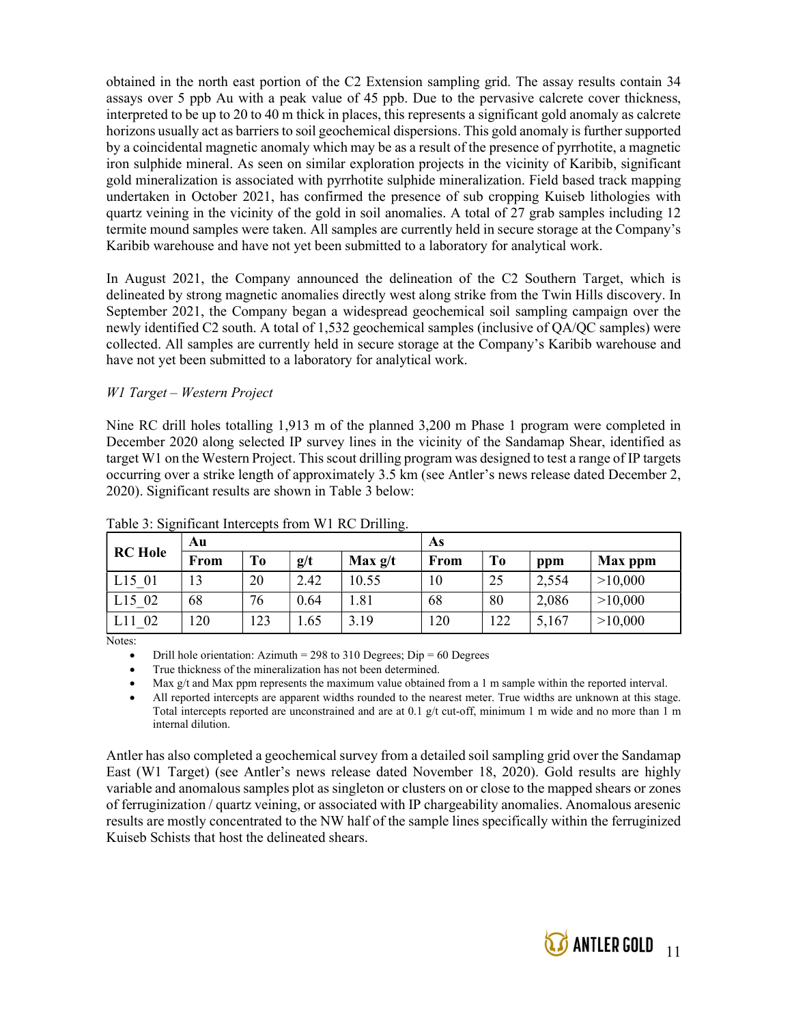obtained in the north east portion of the C2 Extension sampling grid. The assay results contain 34 assays over 5 ppb Au with a peak value of 45 ppb. Due to the pervasive calcrete cover thickness, interpreted to be up to 20 to 40 m thick in places, this represents a significant gold anomaly as calcrete horizons usually act as barriers to soil geochemical dispersions. This gold anomaly is further supported by a coincidental magnetic anomaly which may be as a result of the presence of pyrrhotite, a magnetic iron sulphide mineral. As seen on similar exploration projects in the vicinity of Karibib, significant gold mineralization is associated with pyrrhotite sulphide mineralization. Field based track mapping undertaken in October 2021, has confirmed the presence of sub cropping Kuiseb lithologies with quartz veining in the vicinity of the gold in soil anomalies. A total of 27 grab samples including 12 termite mound samples were taken. All samples are currently held in secure storage at the Company's Karibib warehouse and have not yet been submitted to a laboratory for analytical work.

In August 2021, the Company announced the delineation of the C2 Southern Target, which is delineated by strong magnetic anomalies directly west along strike from the Twin Hills discovery. In September 2021, the Company began a widespread geochemical soil sampling campaign over the newly identified C2 south. A total of 1,532 geochemical samples (inclusive of QA/QC samples) were collected. All samples are currently held in secure storage at the Company's Karibib warehouse and have not yet been submitted to a laboratory for analytical work.

### W1 Target – Western Project

Nine RC drill holes totalling 1,913 m of the planned 3,200 m Phase 1 program were completed in December 2020 along selected IP survey lines in the vicinity of the Sandamap Shear, identified as target W1 on the Western Project. This scout drilling program was designed to test a range of IP targets occurring over a strike length of approximately 3.5 km (see Antler's news release dated December 2, 2020). Significant results are shown in Table 3 below:

| ▱              | Au   |     |      | $\circ$   | As   |                |       |         |
|----------------|------|-----|------|-----------|------|----------------|-------|---------|
| <b>RC</b> Hole | From | To  | g/t  | Max $g/t$ | From | T <sub>o</sub> | ppm   | Max ppm |
| L15 01         | 13   | 20  | 2.42 | 10.55     | 10   | 25             | 2,554 | >10,000 |
| L15 02         | 68   | 76  | 0.64 | 1.81      | 68   | 80             | 2,086 | >10,000 |
| 02             | 20   | 123 | .65  | 3.19      | 120  | 122            | 5,167 | >10,000 |

Table 3: Significant Intercepts from W1 RC Drilling.

Notes:

Drill hole orientation: Azimuth = 298 to 310 Degrees; Dip = 60 Degrees

True thickness of the mineralization has not been determined.

Max g/t and Max ppm represents the maximum value obtained from a 1 m sample within the reported interval.

 All reported intercepts are apparent widths rounded to the nearest meter. True widths are unknown at this stage. Total intercepts reported are unconstrained and are at 0.1 g/t cut-off, minimum 1 m wide and no more than 1 m internal dilution.

Antler has also completed a geochemical survey from a detailed soil sampling grid over the Sandamap East (W1 Target) (see Antler's news release dated November 18, 2020). Gold results are highly variable and anomalous samples plot as singleton or clusters on or close to the mapped shears or zones of ferruginization / quartz veining, or associated with IP chargeability anomalies. Anomalous aresenic results are mostly concentrated to the NW half of the sample lines specifically within the ferruginized Kuiseb Schists that host the delineated shears.

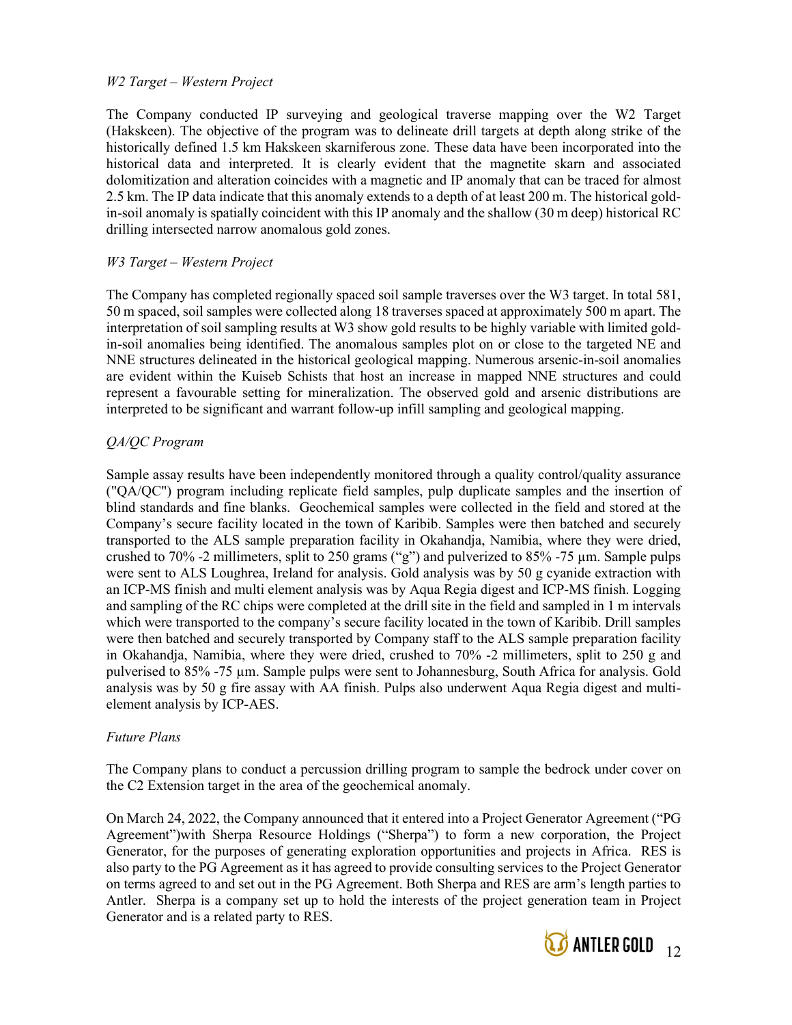### W2 Target – Western Project

The Company conducted IP surveying and geological traverse mapping over the W2 Target (Hakskeen). The objective of the program was to delineate drill targets at depth along strike of the historically defined 1.5 km Hakskeen skarniferous zone. These data have been incorporated into the historical data and interpreted. It is clearly evident that the magnetite skarn and associated dolomitization and alteration coincides with a magnetic and IP anomaly that can be traced for almost 2.5 km. The IP data indicate that this anomaly extends to a depth of at least 200 m. The historical goldin-soil anomaly is spatially coincident with this IP anomaly and the shallow (30 m deep) historical RC drilling intersected narrow anomalous gold zones.

### W3 Target – Western Project

The Company has completed regionally spaced soil sample traverses over the W3 target. In total 581, 50 m spaced, soil samples were collected along 18 traverses spaced at approximately 500 m apart. The interpretation of soil sampling results at W3 show gold results to be highly variable with limited goldin-soil anomalies being identified. The anomalous samples plot on or close to the targeted NE and NNE structures delineated in the historical geological mapping. Numerous arsenic-in-soil anomalies are evident within the Kuiseb Schists that host an increase in mapped NNE structures and could represent a favourable setting for mineralization. The observed gold and arsenic distributions are interpreted to be significant and warrant follow-up infill sampling and geological mapping.

# QA/QC Program

Sample assay results have been independently monitored through a quality control/quality assurance ("QA/QC") program including replicate field samples, pulp duplicate samples and the insertion of blind standards and fine blanks. Geochemical samples were collected in the field and stored at the Company's secure facility located in the town of Karibib. Samples were then batched and securely transported to the ALS sample preparation facility in Okahandja, Namibia, where they were dried, crushed to 70% -2 millimeters, split to 250 grams ("g") and pulverized to 85% -75 µm. Sample pulps were sent to ALS Loughrea, Ireland for analysis. Gold analysis was by 50 g cyanide extraction with an ICP-MS finish and multi element analysis was by Aqua Regia digest and ICP-MS finish. Logging and sampling of the RC chips were completed at the drill site in the field and sampled in 1 m intervals which were transported to the company's secure facility located in the town of Karibib. Drill samples were then batched and securely transported by Company staff to the ALS sample preparation facility in Okahandja, Namibia, where they were dried, crushed to 70% -2 millimeters, split to 250 g and pulverised to 85% -75 µm. Sample pulps were sent to Johannesburg, South Africa for analysis. Gold analysis was by 50 g fire assay with AA finish. Pulps also underwent Aqua Regia digest and multielement analysis by ICP-AES.

### Future Plans

The Company plans to conduct a percussion drilling program to sample the bedrock under cover on the C2 Extension target in the area of the geochemical anomaly.

On March 24, 2022, the Company announced that it entered into a Project Generator Agreement ("PG Agreement")with Sherpa Resource Holdings ("Sherpa") to form a new corporation, the Project Generator, for the purposes of generating exploration opportunities and projects in Africa. RES is also party to the PG Agreement as it has agreed to provide consulting services to the Project Generator on terms agreed to and set out in the PG Agreement. Both Sherpa and RES are arm's length parties to Antler. Sherpa is a company set up to hold the interests of the project generation team in Project Generator and is a related party to RES.

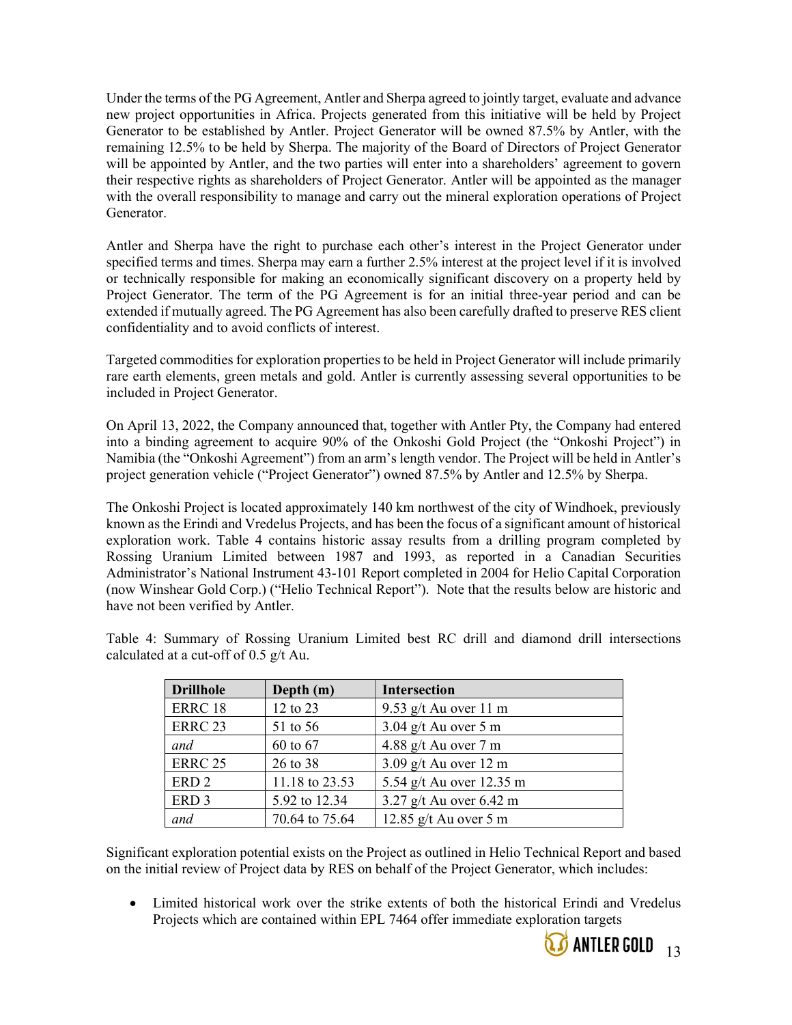Under the terms of the PG Agreement, Antler and Sherpa agreed to jointly target, evaluate and advance new project opportunities in Africa. Projects generated from this initiative will be held by Project Generator to be established by Antler. Project Generator will be owned 87.5% by Antler, with the remaining 12.5% to be held by Sherpa. The majority of the Board of Directors of Project Generator will be appointed by Antler, and the two parties will enter into a shareholders' agreement to govern their respective rights as shareholders of Project Generator. Antler will be appointed as the manager with the overall responsibility to manage and carry out the mineral exploration operations of Project Generator.

Antler and Sherpa have the right to purchase each other's interest in the Project Generator under specified terms and times. Sherpa may earn a further 2.5% interest at the project level if it is involved or technically responsible for making an economically significant discovery on a property held by Project Generator. The term of the PG Agreement is for an initial three-year period and can be extended if mutually agreed. The PG Agreement has also been carefully drafted to preserve RES client confidentiality and to avoid conflicts of interest.

Targeted commodities for exploration properties to be held in Project Generator will include primarily rare earth elements, green metals and gold. Antler is currently assessing several opportunities to be included in Project Generator.

On April 13, 2022, the Company announced that, together with Antler Pty, the Company had entered into a binding agreement to acquire 90% of the Onkoshi Gold Project (the "Onkoshi Project") in Namibia (the "Onkoshi Agreement") from an arm's length vendor. The Project will be held in Antler's project generation vehicle ("Project Generator") owned 87.5% by Antler and 12.5% by Sherpa.

The Onkoshi Project is located approximately 140 km northwest of the city of Windhoek, previously known as the Erindi and Vredelus Projects, and has been the focus of a significant amount of historical exploration work. Table 4 contains historic assay results from a drilling program completed by Rossing Uranium Limited between 1987 and 1993, as reported in a Canadian Securities Administrator's National Instrument 43-101 Report completed in 2004 for Helio Capital Corporation (now Winshear Gold Corp.) ("Helio Technical Report"). Note that the results below are historic and have not been verified by Antler.

| Table 4: Summary of Rossing Uranium Limited best RC drill and diamond drill intersections |  |  |  |  |  |
|-------------------------------------------------------------------------------------------|--|--|--|--|--|
| calculated at a cut-off of 0.5 g/t Au.                                                    |  |  |  |  |  |

| <b>Drillhole</b>   | Depth (m)      | <b>Intersection</b>            |
|--------------------|----------------|--------------------------------|
| ERRC <sub>18</sub> | 12 to 23       | 9.53 g/t Au over 11 m          |
| <b>ERRC 23</b>     | 51 to 56       | $3.04$ g/t Au over 5 m         |
| and                | 60 to 67       | 4.88 g/t Au over $7 \text{ m}$ |
| <b>ERRC 25</b>     | 26 to 38       | $3.09$ g/t Au over 12 m        |
| ERD <sub>2</sub>   | 11.18 to 23.53 | 5.54 g/t Au over 12.35 m       |
| ERD <sub>3</sub>   | 5.92 to 12.34  | 3.27 $g/t$ Au over 6.42 m      |
| and                | 70.64 to 75.64 | 12.85 $g/t$ Au over 5 m        |

Significant exploration potential exists on the Project as outlined in Helio Technical Report and based on the initial review of Project data by RES on behalf of the Project Generator, which includes:

 Limited historical work over the strike extents of both the historical Erindi and Vredelus Projects which are contained within EPL 7464 offer immediate exploration targets

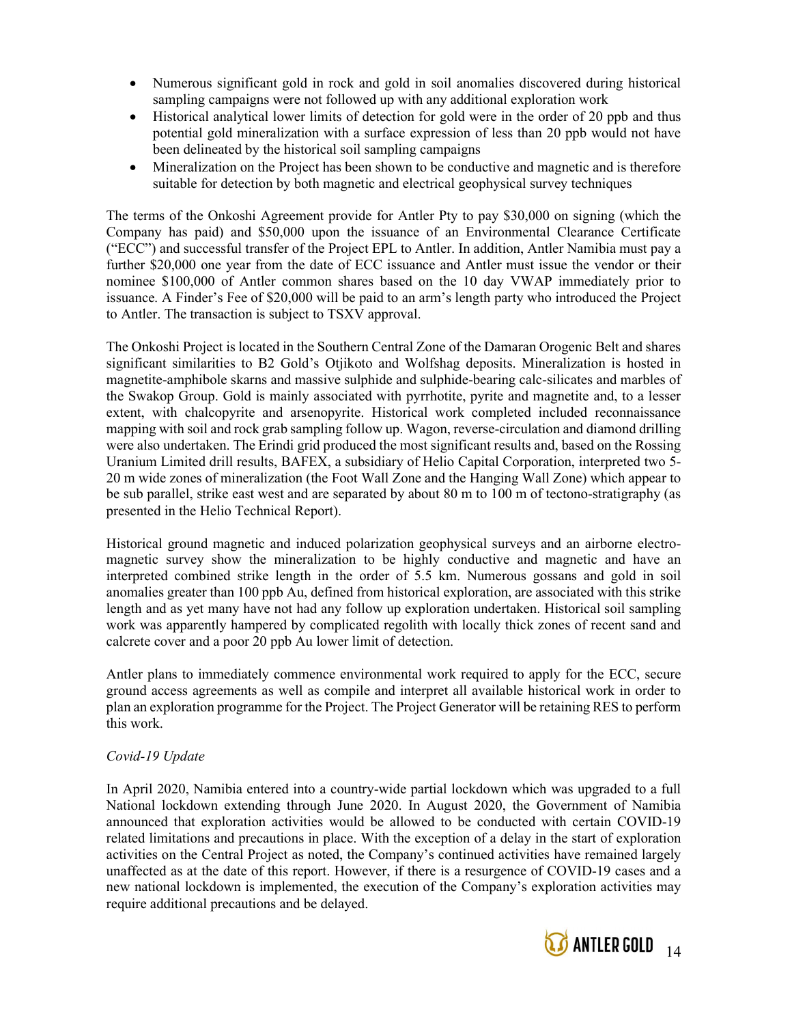- Numerous significant gold in rock and gold in soil anomalies discovered during historical sampling campaigns were not followed up with any additional exploration work
- Historical analytical lower limits of detection for gold were in the order of 20 ppb and thus potential gold mineralization with a surface expression of less than 20 ppb would not have been delineated by the historical soil sampling campaigns
- Mineralization on the Project has been shown to be conductive and magnetic and is therefore suitable for detection by both magnetic and electrical geophysical survey techniques

The terms of the Onkoshi Agreement provide for Antler Pty to pay \$30,000 on signing (which the Company has paid) and \$50,000 upon the issuance of an Environmental Clearance Certificate ("ECC") and successful transfer of the Project EPL to Antler. In addition, Antler Namibia must pay a further \$20,000 one year from the date of ECC issuance and Antler must issue the vendor or their nominee \$100,000 of Antler common shares based on the 10 day VWAP immediately prior to issuance. A Finder's Fee of \$20,000 will be paid to an arm's length party who introduced the Project to Antler. The transaction is subject to TSXV approval.

The Onkoshi Project is located in the Southern Central Zone of the Damaran Orogenic Belt and shares significant similarities to B2 Gold's Otjikoto and Wolfshag deposits. Mineralization is hosted in magnetite-amphibole skarns and massive sulphide and sulphide-bearing calc-silicates and marbles of the Swakop Group. Gold is mainly associated with pyrrhotite, pyrite and magnetite and, to a lesser extent, with chalcopyrite and arsenopyrite. Historical work completed included reconnaissance mapping with soil and rock grab sampling follow up. Wagon, reverse-circulation and diamond drilling were also undertaken. The Erindi grid produced the most significant results and, based on the Rossing Uranium Limited drill results, BAFEX, a subsidiary of Helio Capital Corporation, interpreted two 5- 20 m wide zones of mineralization (the Foot Wall Zone and the Hanging Wall Zone) which appear to be sub parallel, strike east west and are separated by about 80 m to 100 m of tectono-stratigraphy (as presented in the Helio Technical Report).

Historical ground magnetic and induced polarization geophysical surveys and an airborne electromagnetic survey show the mineralization to be highly conductive and magnetic and have an interpreted combined strike length in the order of 5.5 km. Numerous gossans and gold in soil anomalies greater than 100 ppb Au, defined from historical exploration, are associated with this strike length and as yet many have not had any follow up exploration undertaken. Historical soil sampling work was apparently hampered by complicated regolith with locally thick zones of recent sand and calcrete cover and a poor 20 ppb Au lower limit of detection.

Antler plans to immediately commence environmental work required to apply for the ECC, secure ground access agreements as well as compile and interpret all available historical work in order to plan an exploration programme for the Project. The Project Generator will be retaining RES to perform this work.

# Covid-19 Update

In April 2020, Namibia entered into a country-wide partial lockdown which was upgraded to a full National lockdown extending through June 2020. In August 2020, the Government of Namibia announced that exploration activities would be allowed to be conducted with certain COVID-19 related limitations and precautions in place. With the exception of a delay in the start of exploration activities on the Central Project as noted, the Company's continued activities have remained largely unaffected as at the date of this report. However, if there is a resurgence of COVID-19 cases and a new national lockdown is implemented, the execution of the Company's exploration activities may require additional precautions and be delayed.

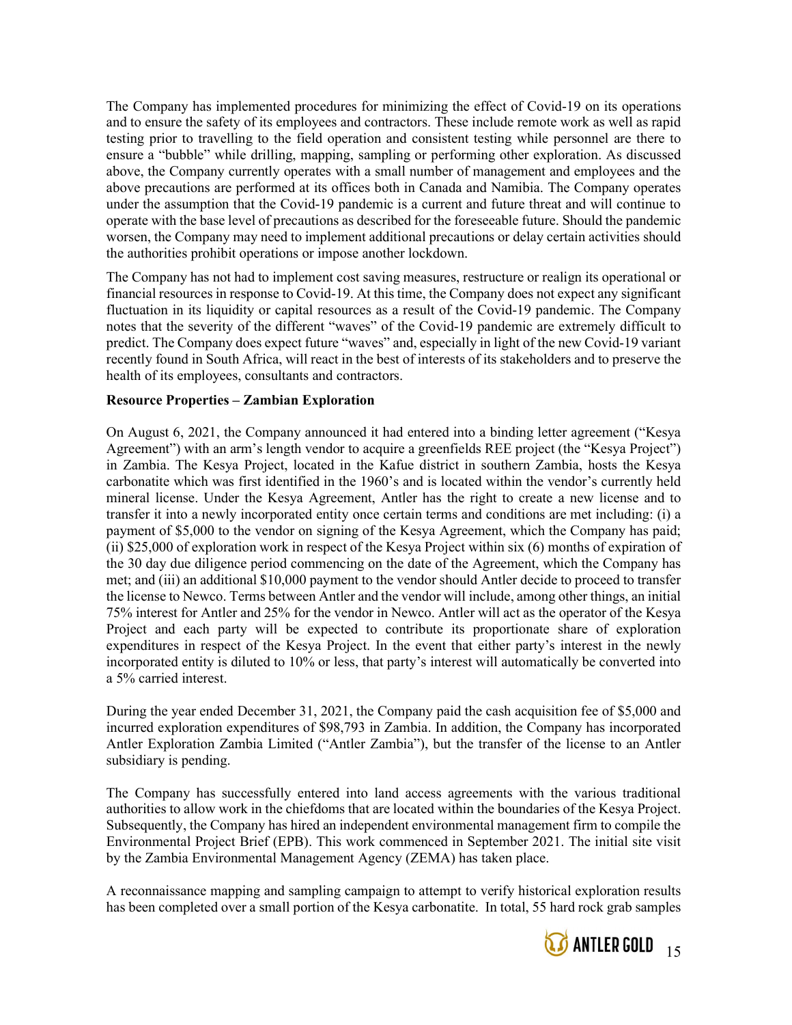The Company has implemented procedures for minimizing the effect of Covid-19 on its operations and to ensure the safety of its employees and contractors. These include remote work as well as rapid testing prior to travelling to the field operation and consistent testing while personnel are there to ensure a "bubble" while drilling, mapping, sampling or performing other exploration. As discussed above, the Company currently operates with a small number of management and employees and the above precautions are performed at its offices both in Canada and Namibia. The Company operates under the assumption that the Covid-19 pandemic is a current and future threat and will continue to operate with the base level of precautions as described for the foreseeable future. Should the pandemic worsen, the Company may need to implement additional precautions or delay certain activities should the authorities prohibit operations or impose another lockdown.

The Company has not had to implement cost saving measures, restructure or realign its operational or financial resources in response to Covid-19. At this time, the Company does not expect any significant fluctuation in its liquidity or capital resources as a result of the Covid-19 pandemic. The Company notes that the severity of the different "waves" of the Covid-19 pandemic are extremely difficult to predict. The Company does expect future "waves" and, especially in light of the new Covid-19 variant recently found in South Africa, will react in the best of interests of its stakeholders and to preserve the health of its employees, consultants and contractors.

#### Resource Properties – Zambian Exploration

On August 6, 2021, the Company announced it had entered into a binding letter agreement ("Kesya Agreement") with an arm's length vendor to acquire a greenfields REE project (the "Kesya Project") in Zambia. The Kesya Project, located in the Kafue district in southern Zambia, hosts the Kesya carbonatite which was first identified in the 1960's and is located within the vendor's currently held mineral license. Under the Kesya Agreement, Antler has the right to create a new license and to transfer it into a newly incorporated entity once certain terms and conditions are met including: (i) a payment of \$5,000 to the vendor on signing of the Kesya Agreement, which the Company has paid; (ii) \$25,000 of exploration work in respect of the Kesya Project within six (6) months of expiration of the 30 day due diligence period commencing on the date of the Agreement, which the Company has met; and (iii) an additional \$10,000 payment to the vendor should Antler decide to proceed to transfer the license to Newco. Terms between Antler and the vendor will include, among other things, an initial 75% interest for Antler and 25% for the vendor in Newco. Antler will act as the operator of the Kesya Project and each party will be expected to contribute its proportionate share of exploration expenditures in respect of the Kesya Project. In the event that either party's interest in the newly incorporated entity is diluted to 10% or less, that party's interest will automatically be converted into a 5% carried interest.

During the year ended December 31, 2021, the Company paid the cash acquisition fee of \$5,000 and incurred exploration expenditures of \$98,793 in Zambia. In addition, the Company has incorporated Antler Exploration Zambia Limited ("Antler Zambia"), but the transfer of the license to an Antler subsidiary is pending.

The Company has successfully entered into land access agreements with the various traditional authorities to allow work in the chiefdoms that are located within the boundaries of the Kesya Project. Subsequently, the Company has hired an independent environmental management firm to compile the Environmental Project Brief (EPB). This work commenced in September 2021. The initial site visit by the Zambia Environmental Management Agency (ZEMA) has taken place.

A reconnaissance mapping and sampling campaign to attempt to verify historical exploration results has been completed over a small portion of the Kesya carbonatite. In total, 55 hard rock grab samples

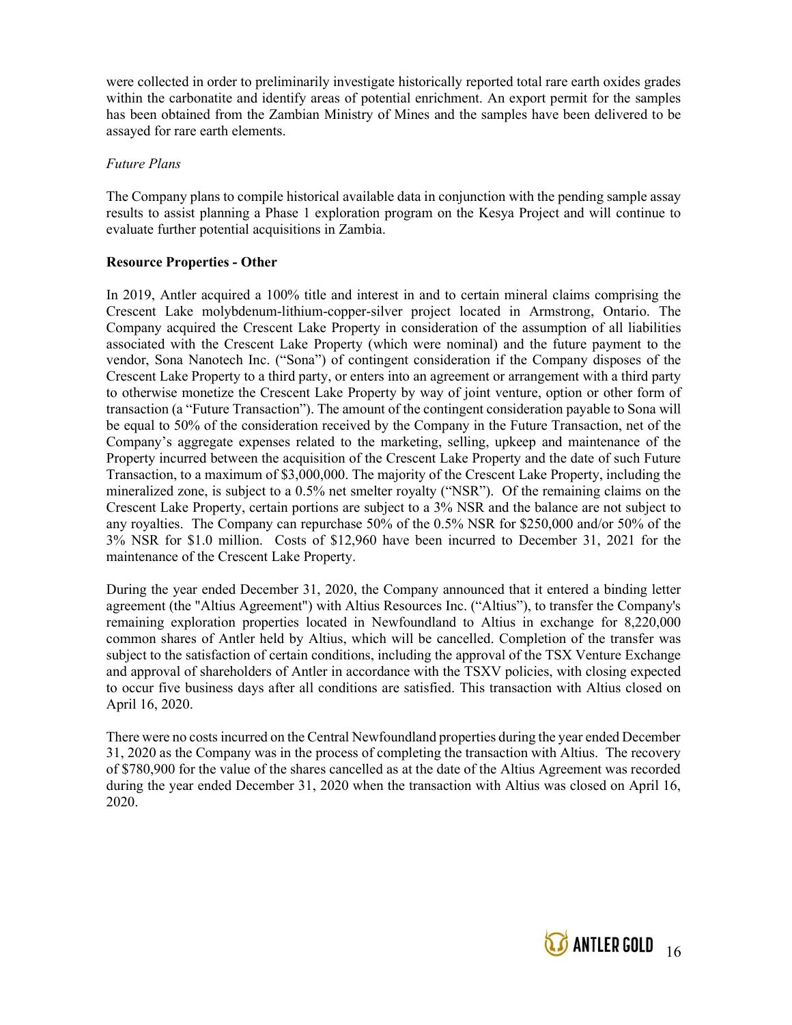were collected in order to preliminarily investigate historically reported total rare earth oxides grades within the carbonatite and identify areas of potential enrichment. An export permit for the samples has been obtained from the Zambian Ministry of Mines and the samples have been delivered to be assayed for rare earth elements.

# Future Plans

The Company plans to compile historical available data in conjunction with the pending sample assay results to assist planning a Phase 1 exploration program on the Kesya Project and will continue to evaluate further potential acquisitions in Zambia.

# Resource Properties - Other

In 2019, Antler acquired a 100% title and interest in and to certain mineral claims comprising the Crescent Lake molybdenum-lithium-copper-silver project located in Armstrong, Ontario. The Company acquired the Crescent Lake Property in consideration of the assumption of all liabilities associated with the Crescent Lake Property (which were nominal) and the future payment to the vendor, Sona Nanotech Inc. ("Sona") of contingent consideration if the Company disposes of the Crescent Lake Property to a third party, or enters into an agreement or arrangement with a third party to otherwise monetize the Crescent Lake Property by way of joint venture, option or other form of transaction (a "Future Transaction"). The amount of the contingent consideration payable to Sona will be equal to 50% of the consideration received by the Company in the Future Transaction, net of the Company's aggregate expenses related to the marketing, selling, upkeep and maintenance of the Property incurred between the acquisition of the Crescent Lake Property and the date of such Future Transaction, to a maximum of \$3,000,000. The majority of the Crescent Lake Property, including the mineralized zone, is subject to a 0.5% net smelter royalty ("NSR"). Of the remaining claims on the Crescent Lake Property, certain portions are subject to a 3% NSR and the balance are not subject to any royalties. The Company can repurchase 50% of the 0.5% NSR for \$250,000 and/or 50% of the 3% NSR for \$1.0 million. Costs of \$12,960 have been incurred to December 31, 2021 for the maintenance of the Crescent Lake Property.

During the year ended December 31, 2020, the Company announced that it entered a binding letter agreement (the "Altius Agreement") with Altius Resources Inc. ("Altius"), to transfer the Company's remaining exploration properties located in Newfoundland to Altius in exchange for 8,220,000 common shares of Antler held by Altius, which will be cancelled. Completion of the transfer was subject to the satisfaction of certain conditions, including the approval of the TSX Venture Exchange and approval of shareholders of Antler in accordance with the TSXV policies, with closing expected to occur five business days after all conditions are satisfied. This transaction with Altius closed on April 16, 2020.

There were no costs incurred on the Central Newfoundland properties during the year ended December 31, 2020 as the Company was in the process of completing the transaction with Altius. The recovery of \$780,900 for the value of the shares cancelled as at the date of the Altius Agreement was recorded during the year ended December 31, 2020 when the transaction with Altius was closed on April 16, 2020.

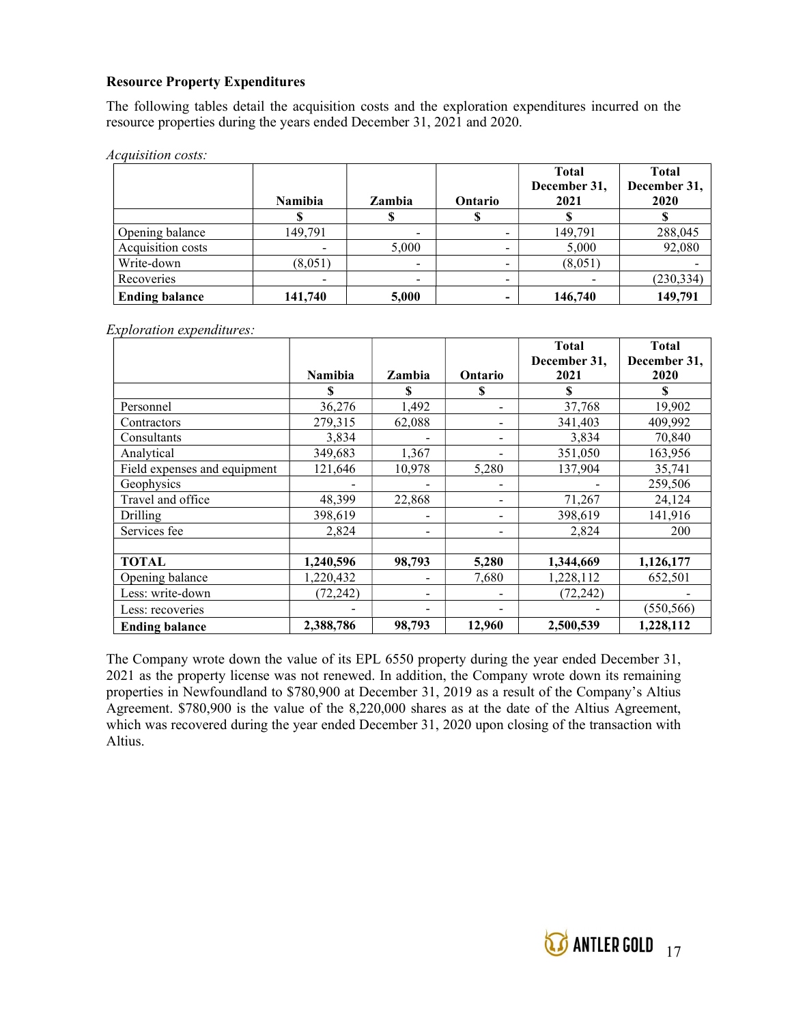# Resource Property Expenditures

The following tables detail the acquisition costs and the exploration expenditures incurred on the resource properties during the years ended December 31, 2021 and 2020.

Acquisition costs:

|                       | <b>Namibia</b> | Zambia                   | Ontario | <b>Total</b><br>December 31,<br>2021 | <b>Total</b><br>December 31,<br>2020 |
|-----------------------|----------------|--------------------------|---------|--------------------------------------|--------------------------------------|
|                       |                |                          |         |                                      |                                      |
| Opening balance       | 149,791        | -                        |         | 149,791                              | 288,045                              |
| Acquisition costs     |                | 5,000                    |         | 5,000                                | 92,080                               |
| Write-down            | (8,051)        | $\overline{\phantom{a}}$ | -       | (8,051)                              |                                      |
| Recoveries            |                |                          | -       |                                      | (230, 334)                           |
| <b>Ending balance</b> | 141.740        | 5,000                    |         | 146,740                              | 149,791                              |

Exploration expenditures:

|                              | <b>Namibia</b> | Zambia | Ontario                      | <b>Total</b><br>December 31,<br>2021 | <b>Total</b><br>December 31,<br>2020 |
|------------------------------|----------------|--------|------------------------------|--------------------------------------|--------------------------------------|
|                              | S              | S      | \$                           | S                                    | \$                                   |
| Personnel                    | 36,276         | 1,492  |                              | 37,768                               | 19,902                               |
| Contractors                  | 279,315        | 62,088 |                              | 341,403                              | 409,992                              |
| Consultants                  | 3,834          |        |                              | 3,834                                | 70,840                               |
| Analytical                   | 349,683        | 1,367  |                              | 351,050                              | 163,956                              |
| Field expenses and equipment | 121,646        | 10,978 | 5,280                        | 137,904                              | 35,741                               |
| Geophysics                   |                |        |                              |                                      | 259,506                              |
| Travel and office            | 48,399         | 22,868 | -                            | 71,267                               | 24,124                               |
| Drilling                     | 398,619        |        | -                            | 398,619                              | 141,916                              |
| Services fee                 | 2,824          |        | $\qquad \qquad \blacksquare$ | 2,824                                | 200                                  |
|                              |                |        |                              |                                      |                                      |
| <b>TOTAL</b>                 | 1,240,596      | 98,793 | 5,280                        | 1,344,669                            | 1,126,177                            |
| Opening balance              | 1,220,432      |        | 7,680                        | 1,228,112                            | 652,501                              |
| Less: write-down             | (72, 242)      |        |                              | (72, 242)                            |                                      |
| Less: recoveries             |                |        |                              |                                      | (550, 566)                           |
| <b>Ending balance</b>        | 2,388,786      | 98,793 | 12,960                       | 2,500,539                            | 1,228,112                            |

The Company wrote down the value of its EPL 6550 property during the year ended December 31, 2021 as the property license was not renewed. In addition, the Company wrote down its remaining properties in Newfoundland to \$780,900 at December 31, 2019 as a result of the Company's Altius Agreement. \$780,900 is the value of the 8,220,000 shares as at the date of the Altius Agreement, which was recovered during the year ended December 31, 2020 upon closing of the transaction with Altius.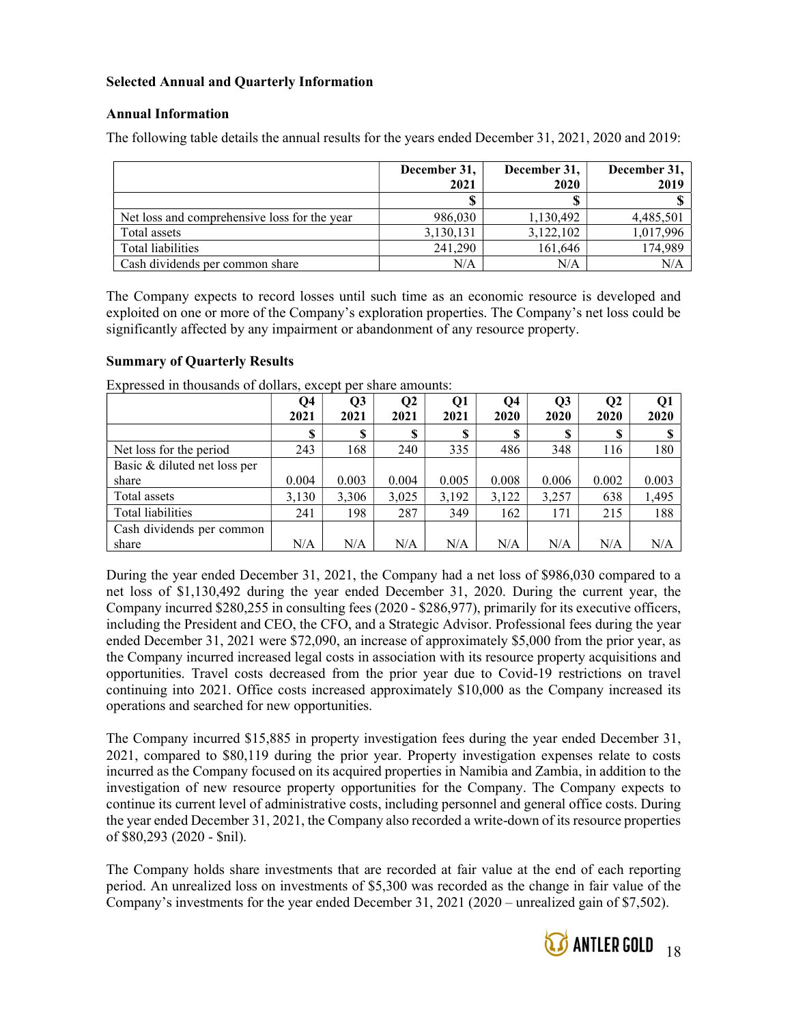# Selected Annual and Quarterly Information

# Annual Information

The following table details the annual results for the years ended December 31, 2021, 2020 and 2019:

|                                              | December 31,<br>2021 | December 31,<br>2020 | December 31,<br>2019 |
|----------------------------------------------|----------------------|----------------------|----------------------|
|                                              |                      |                      |                      |
| Net loss and comprehensive loss for the year | 986,030              | 1,130,492            | 4,485,501            |
| Total assets                                 | 3,130,131            | 3,122,102            | 1,017,996            |
| Total liabilities                            | 241,290              | 161,646              | 174,989              |
| Cash dividends per common share              | N/A                  | N/A                  | N/A                  |

The Company expects to record losses until such time as an economic resource is developed and exploited on one or more of the Company's exploration properties. The Company's net loss could be significantly affected by any impairment or abandonment of any resource property.

# Summary of Quarterly Results

|                              | Q4    | Q3    | Q <sub>2</sub> | Q1    | Q <sub>4</sub> | Q3    | Q <sub>2</sub> | Q1    |
|------------------------------|-------|-------|----------------|-------|----------------|-------|----------------|-------|
|                              | 2021  | 2021  | 2021           | 2021  | 2020           | 2020  | 2020           | 2020  |
|                              | \$    | \$.   | S              | S     | \$             | S     | S              |       |
| Net loss for the period      | 243   | 168   | 240            | 335   | 486            | 348   | 116            | 180   |
| Basic & diluted net loss per |       |       |                |       |                |       |                |       |
| share                        | 0.004 | 0.003 | 0.004          | 0.005 | 0.008          | 0.006 | 0.002          | 0.003 |
| Total assets                 | 3,130 | 3,306 | 3,025          | 3,192 | 3,122          | 3,257 | 638            | 1,495 |
| Total liabilities            | 241   | 198   | 287            | 349   | 162            | 171   | 215            | 188   |
| Cash dividends per common    |       |       |                |       |                |       |                |       |
| share                        | N/A   | N/A   | N/A            | N/A   | N/A            | N/A   | N/A            | N/A   |

Expressed in thousands of dollars, except per share amounts:

During the year ended December 31, 2021, the Company had a net loss of \$986,030 compared to a net loss of \$1,130,492 during the year ended December 31, 2020. During the current year, the Company incurred \$280,255 in consulting fees (2020 - \$286,977), primarily for its executive officers, including the President and CEO, the CFO, and a Strategic Advisor. Professional fees during the year ended December 31, 2021 were \$72,090, an increase of approximately \$5,000 from the prior year, as the Company incurred increased legal costs in association with its resource property acquisitions and opportunities. Travel costs decreased from the prior year due to Covid-19 restrictions on travel continuing into 2021. Office costs increased approximately \$10,000 as the Company increased its operations and searched for new opportunities.

The Company incurred \$15,885 in property investigation fees during the year ended December 31, 2021, compared to \$80,119 during the prior year. Property investigation expenses relate to costs incurred as the Company focused on its acquired properties in Namibia and Zambia, in addition to the investigation of new resource property opportunities for the Company. The Company expects to continue its current level of administrative costs, including personnel and general office costs. During the year ended December 31, 2021, the Company also recorded a write-down of its resource properties of \$80,293 (2020 - \$nil).

The Company holds share investments that are recorded at fair value at the end of each reporting period. An unrealized loss on investments of \$5,300 was recorded as the change in fair value of the Company's investments for the year ended December 31, 2021 (2020 – unrealized gain of \$7,502).

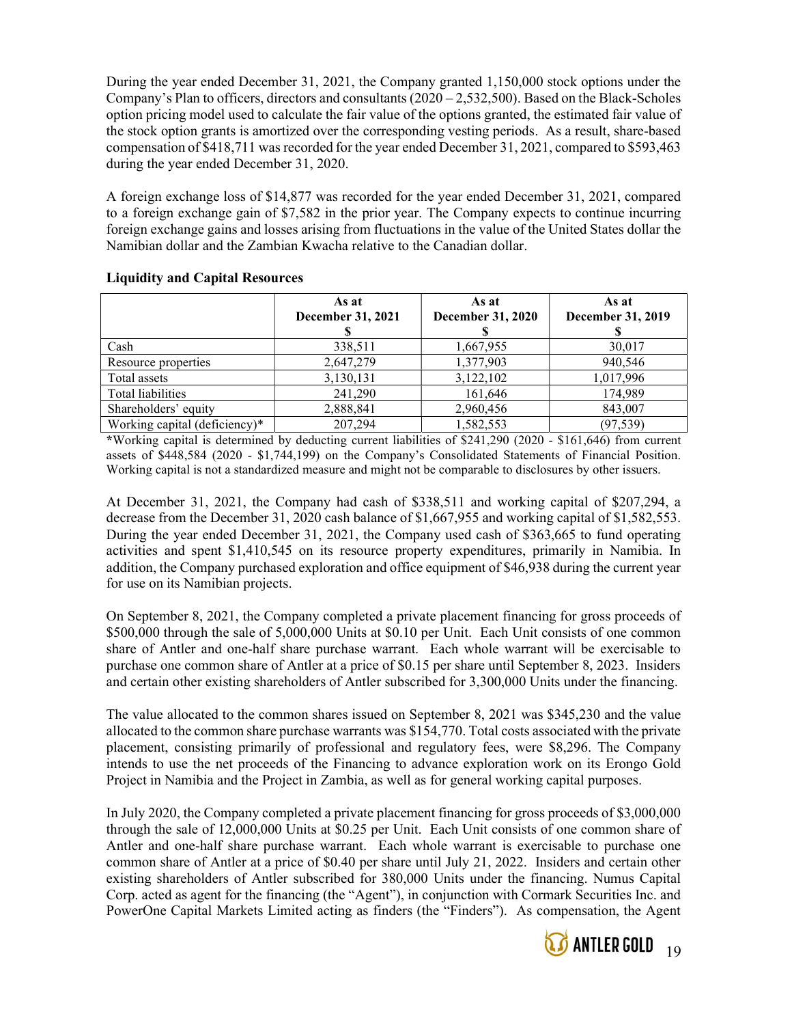During the year ended December 31, 2021, the Company granted 1,150,000 stock options under the Company's Plan to officers, directors and consultants  $(2020 - 2,532,500)$ . Based on the Black-Scholes option pricing model used to calculate the fair value of the options granted, the estimated fair value of the stock option grants is amortized over the corresponding vesting periods. As a result, share-based compensation of \$418,711 was recorded for the year ended December 31, 2021, compared to \$593,463 during the year ended December 31, 2020.

A foreign exchange loss of \$14,877 was recorded for the year ended December 31, 2021, compared to a foreign exchange gain of \$7,582 in the prior year. The Company expects to continue incurring foreign exchange gains and losses arising from fluctuations in the value of the United States dollar the Namibian dollar and the Zambian Kwacha relative to the Canadian dollar.

|                               | As at<br>December 31, 2021 | As at<br><b>December 31, 2020</b> | As at<br>December 31, 2019 |
|-------------------------------|----------------------------|-----------------------------------|----------------------------|
| Cash                          | 338,511                    | 1,667,955                         | 30,017                     |
| Resource properties           | 2,647,279                  | 1,377,903                         | 940,546                    |
| Total assets                  | 3,130,131                  | 3,122,102                         | 1,017,996                  |
| Total liabilities             | 241,290                    | 161,646                           | 174,989                    |
| Shareholders' equity          | 2,888,841                  | 2,960,456                         | 843,007                    |
| Working capital (deficiency)* | 207,294                    | 1,582,553                         | (97, 539)                  |

### Liquidity and Capital Resources

\*Working capital is determined by deducting current liabilities of \$241,290 (2020 - \$161,646) from current assets of \$448,584 (2020 - \$1,744,199) on the Company's Consolidated Statements of Financial Position. Working capital is not a standardized measure and might not be comparable to disclosures by other issuers.

At December 31, 2021, the Company had cash of \$338,511 and working capital of \$207,294, a decrease from the December 31, 2020 cash balance of \$1,667,955 and working capital of \$1,582,553. During the year ended December 31, 2021, the Company used cash of \$363,665 to fund operating activities and spent \$1,410,545 on its resource property expenditures, primarily in Namibia. In addition, the Company purchased exploration and office equipment of \$46,938 during the current year for use on its Namibian projects.

On September 8, 2021, the Company completed a private placement financing for gross proceeds of \$500,000 through the sale of 5,000,000 Units at \$0.10 per Unit. Each Unit consists of one common share of Antler and one-half share purchase warrant. Each whole warrant will be exercisable to purchase one common share of Antler at a price of \$0.15 per share until September 8, 2023. Insiders and certain other existing shareholders of Antler subscribed for 3,300,000 Units under the financing.

The value allocated to the common shares issued on September 8, 2021 was \$345,230 and the value allocated to the common share purchase warrants was \$154,770. Total costs associated with the private placement, consisting primarily of professional and regulatory fees, were \$8,296. The Company intends to use the net proceeds of the Financing to advance exploration work on its Erongo Gold Project in Namibia and the Project in Zambia, as well as for general working capital purposes.

In July 2020, the Company completed a private placement financing for gross proceeds of \$3,000,000 through the sale of 12,000,000 Units at \$0.25 per Unit. Each Unit consists of one common share of Antler and one-half share purchase warrant. Each whole warrant is exercisable to purchase one common share of Antler at a price of \$0.40 per share until July 21, 2022. Insiders and certain other existing shareholders of Antler subscribed for 380,000 Units under the financing. Numus Capital Corp. acted as agent for the financing (the "Agent"), in conjunction with Cormark Securities Inc. and PowerOne Capital Markets Limited acting as finders (the "Finders"). As compensation, the Agent

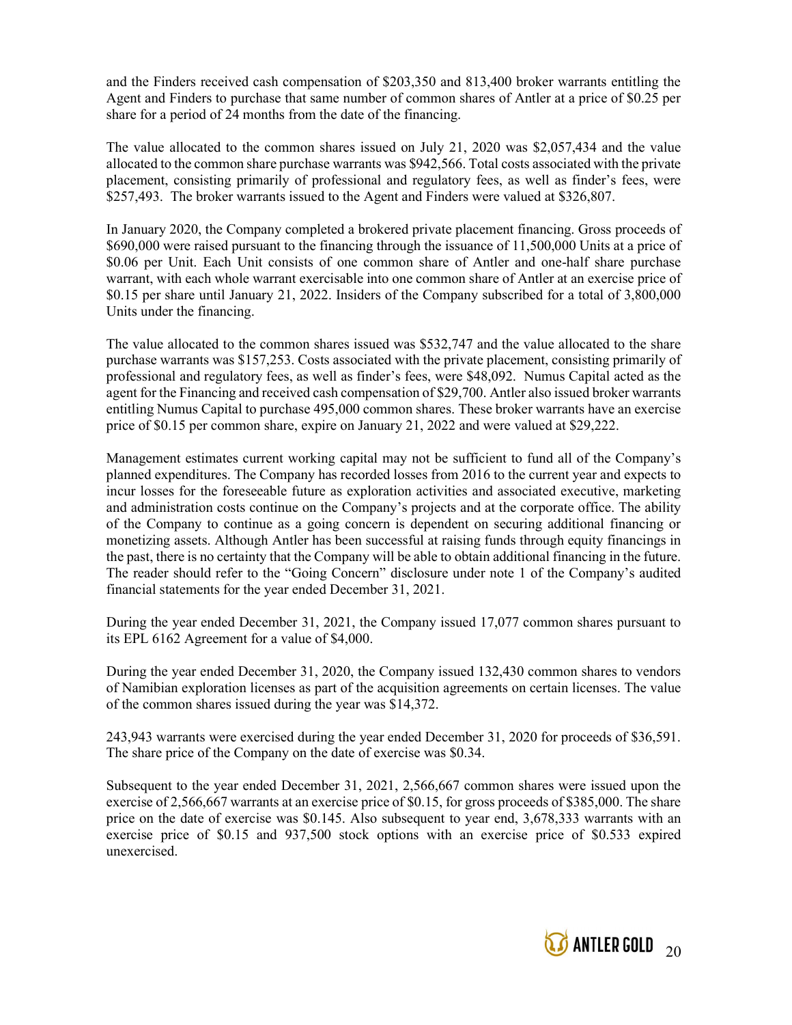and the Finders received cash compensation of \$203,350 and 813,400 broker warrants entitling the Agent and Finders to purchase that same number of common shares of Antler at a price of \$0.25 per share for a period of 24 months from the date of the financing.

The value allocated to the common shares issued on July 21, 2020 was \$2,057,434 and the value allocated to the common share purchase warrants was \$942,566. Total costs associated with the private placement, consisting primarily of professional and regulatory fees, as well as finder's fees, were \$257,493. The broker warrants issued to the Agent and Finders were valued at \$326,807.

In January 2020, the Company completed a brokered private placement financing. Gross proceeds of \$690,000 were raised pursuant to the financing through the issuance of 11,500,000 Units at a price of \$0.06 per Unit. Each Unit consists of one common share of Antler and one-half share purchase warrant, with each whole warrant exercisable into one common share of Antler at an exercise price of \$0.15 per share until January 21, 2022. Insiders of the Company subscribed for a total of 3,800,000 Units under the financing.

The value allocated to the common shares issued was \$532,747 and the value allocated to the share purchase warrants was \$157,253. Costs associated with the private placement, consisting primarily of professional and regulatory fees, as well as finder's fees, were \$48,092. Numus Capital acted as the agent for the Financing and received cash compensation of \$29,700. Antler also issued broker warrants entitling Numus Capital to purchase 495,000 common shares. These broker warrants have an exercise price of \$0.15 per common share, expire on January 21, 2022 and were valued at \$29,222.

Management estimates current working capital may not be sufficient to fund all of the Company's planned expenditures. The Company has recorded losses from 2016 to the current year and expects to incur losses for the foreseeable future as exploration activities and associated executive, marketing and administration costs continue on the Company's projects and at the corporate office. The ability of the Company to continue as a going concern is dependent on securing additional financing or monetizing assets. Although Antler has been successful at raising funds through equity financings in the past, there is no certainty that the Company will be able to obtain additional financing in the future. The reader should refer to the "Going Concern" disclosure under note 1 of the Company's audited financial statements for the year ended December 31, 2021.

During the year ended December 31, 2021, the Company issued 17,077 common shares pursuant to its EPL 6162 Agreement for a value of \$4,000.

During the year ended December 31, 2020, the Company issued 132,430 common shares to vendors of Namibian exploration licenses as part of the acquisition agreements on certain licenses. The value of the common shares issued during the year was \$14,372.

243,943 warrants were exercised during the year ended December 31, 2020 for proceeds of \$36,591. The share price of the Company on the date of exercise was \$0.34.

Subsequent to the year ended December 31, 2021, 2,566,667 common shares were issued upon the exercise of 2,566,667 warrants at an exercise price of \$0.15, for gross proceeds of \$385,000. The share price on the date of exercise was \$0.145. Also subsequent to year end, 3,678,333 warrants with an exercise price of \$0.15 and 937,500 stock options with an exercise price of \$0.533 expired unexercised.

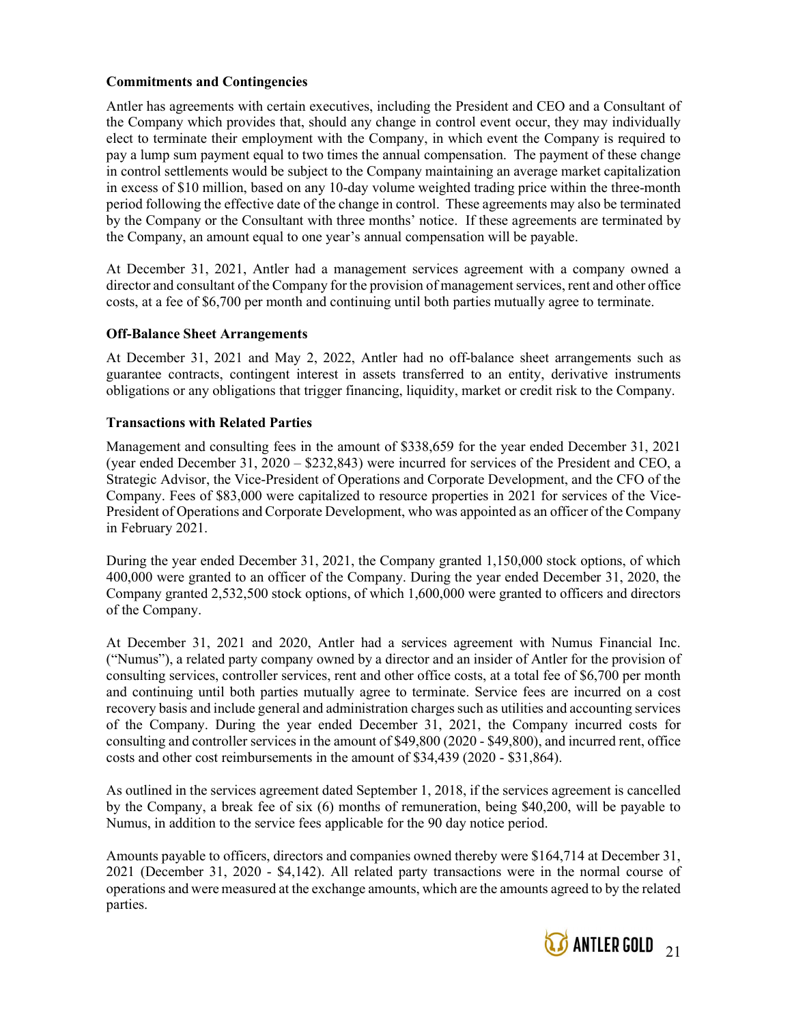### Commitments and Contingencies

Antler has agreements with certain executives, including the President and CEO and a Consultant of the Company which provides that, should any change in control event occur, they may individually elect to terminate their employment with the Company, in which event the Company is required to pay a lump sum payment equal to two times the annual compensation. The payment of these change in control settlements would be subject to the Company maintaining an average market capitalization in excess of \$10 million, based on any 10-day volume weighted trading price within the three-month period following the effective date of the change in control. These agreements may also be terminated by the Company or the Consultant with three months' notice. If these agreements are terminated by the Company, an amount equal to one year's annual compensation will be payable.

At December 31, 2021, Antler had a management services agreement with a company owned a director and consultant of the Company for the provision of management services, rent and other office costs, at a fee of \$6,700 per month and continuing until both parties mutually agree to terminate.

### Off-Balance Sheet Arrangements

At December 31, 2021 and May 2, 2022, Antler had no off-balance sheet arrangements such as guarantee contracts, contingent interest in assets transferred to an entity, derivative instruments obligations or any obligations that trigger financing, liquidity, market or credit risk to the Company.

### Transactions with Related Parties

Management and consulting fees in the amount of \$338,659 for the year ended December 31, 2021 (year ended December 31, 2020 – \$232,843) were incurred for services of the President and CEO, a Strategic Advisor, the Vice-President of Operations and Corporate Development, and the CFO of the Company. Fees of \$83,000 were capitalized to resource properties in 2021 for services of the Vice-President of Operations and Corporate Development, who was appointed as an officer of the Company in February 2021.

During the year ended December 31, 2021, the Company granted 1,150,000 stock options, of which 400,000 were granted to an officer of the Company. During the year ended December 31, 2020, the Company granted 2,532,500 stock options, of which 1,600,000 were granted to officers and directors of the Company.

At December 31, 2021 and 2020, Antler had a services agreement with Numus Financial Inc. ("Numus"), a related party company owned by a director and an insider of Antler for the provision of consulting services, controller services, rent and other office costs, at a total fee of \$6,700 per month and continuing until both parties mutually agree to terminate. Service fees are incurred on a cost recovery basis and include general and administration charges such as utilities and accounting services of the Company. During the year ended December 31, 2021, the Company incurred costs for consulting and controller services in the amount of \$49,800 (2020 - \$49,800), and incurred rent, office costs and other cost reimbursements in the amount of \$34,439 (2020 - \$31,864).

As outlined in the services agreement dated September 1, 2018, if the services agreement is cancelled by the Company, a break fee of six (6) months of remuneration, being \$40,200, will be payable to Numus, in addition to the service fees applicable for the 90 day notice period.

Amounts payable to officers, directors and companies owned thereby were \$164,714 at December 31, 2021 (December 31, 2020 - \$4,142). All related party transactions were in the normal course of operations and were measured at the exchange amounts, which are the amounts agreed to by the related parties.

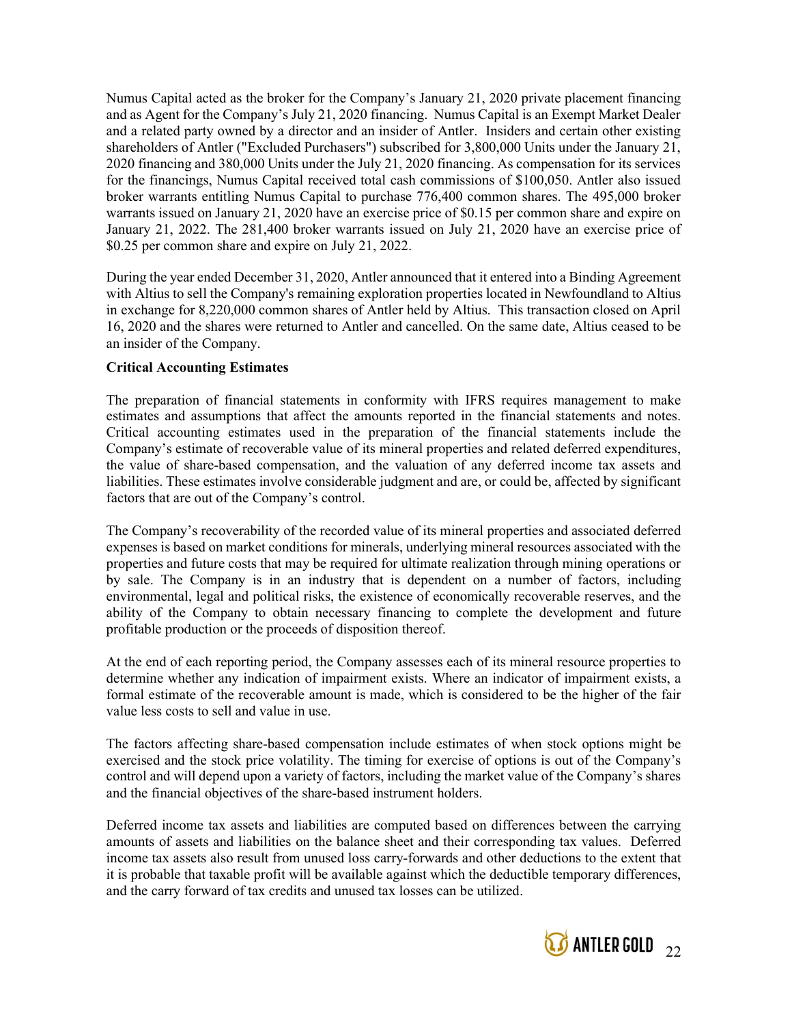Numus Capital acted as the broker for the Company's January 21, 2020 private placement financing and as Agent for the Company's July 21, 2020 financing. Numus Capital is an Exempt Market Dealer and a related party owned by a director and an insider of Antler. Insiders and certain other existing shareholders of Antler ("Excluded Purchasers") subscribed for 3,800,000 Units under the January 21, 2020 financing and 380,000 Units under the July 21, 2020 financing. As compensation for its services for the financings, Numus Capital received total cash commissions of \$100,050. Antler also issued broker warrants entitling Numus Capital to purchase 776,400 common shares. The 495,000 broker warrants issued on January 21, 2020 have an exercise price of \$0.15 per common share and expire on January 21, 2022. The 281,400 broker warrants issued on July 21, 2020 have an exercise price of \$0.25 per common share and expire on July 21, 2022.

During the year ended December 31, 2020, Antler announced that it entered into a Binding Agreement with Altius to sell the Company's remaining exploration properties located in Newfoundland to Altius in exchange for 8,220,000 common shares of Antler held by Altius. This transaction closed on April 16, 2020 and the shares were returned to Antler and cancelled. On the same date, Altius ceased to be an insider of the Company.

### Critical Accounting Estimates

The preparation of financial statements in conformity with IFRS requires management to make estimates and assumptions that affect the amounts reported in the financial statements and notes. Critical accounting estimates used in the preparation of the financial statements include the Company's estimate of recoverable value of its mineral properties and related deferred expenditures, the value of share-based compensation, and the valuation of any deferred income tax assets and liabilities. These estimates involve considerable judgment and are, or could be, affected by significant factors that are out of the Company's control.

The Company's recoverability of the recorded value of its mineral properties and associated deferred expenses is based on market conditions for minerals, underlying mineral resources associated with the properties and future costs that may be required for ultimate realization through mining operations or by sale. The Company is in an industry that is dependent on a number of factors, including environmental, legal and political risks, the existence of economically recoverable reserves, and the ability of the Company to obtain necessary financing to complete the development and future profitable production or the proceeds of disposition thereof.

At the end of each reporting period, the Company assesses each of its mineral resource properties to determine whether any indication of impairment exists. Where an indicator of impairment exists, a formal estimate of the recoverable amount is made, which is considered to be the higher of the fair value less costs to sell and value in use.

The factors affecting share-based compensation include estimates of when stock options might be exercised and the stock price volatility. The timing for exercise of options is out of the Company's control and will depend upon a variety of factors, including the market value of the Company's shares and the financial objectives of the share-based instrument holders.

Deferred income tax assets and liabilities are computed based on differences between the carrying amounts of assets and liabilities on the balance sheet and their corresponding tax values. Deferred income tax assets also result from unused loss carry-forwards and other deductions to the extent that it is probable that taxable profit will be available against which the deductible temporary differences, and the carry forward of tax credits and unused tax losses can be utilized.

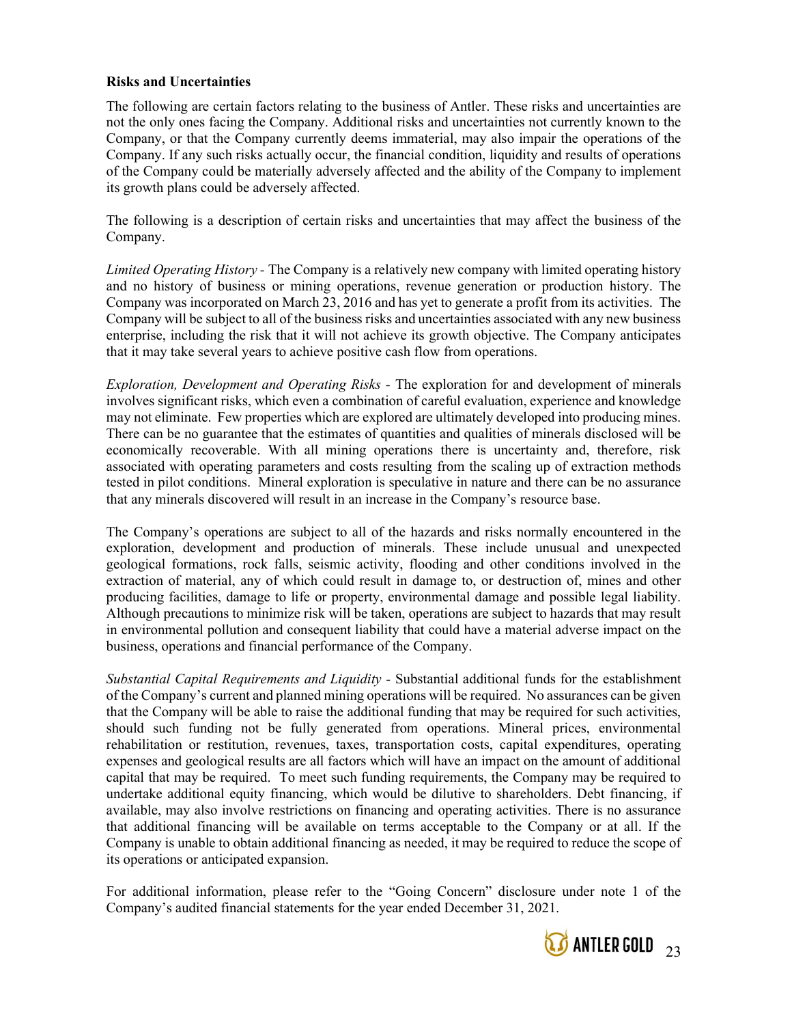### Risks and Uncertainties

The following are certain factors relating to the business of Antler. These risks and uncertainties are not the only ones facing the Company. Additional risks and uncertainties not currently known to the Company, or that the Company currently deems immaterial, may also impair the operations of the Company. If any such risks actually occur, the financial condition, liquidity and results of operations of the Company could be materially adversely affected and the ability of the Company to implement its growth plans could be adversely affected.

The following is a description of certain risks and uncertainties that may affect the business of the Company.

Limited Operating History - The Company is a relatively new company with limited operating history and no history of business or mining operations, revenue generation or production history. The Company was incorporated on March 23, 2016 and has yet to generate a profit from its activities. The Company will be subject to all of the business risks and uncertainties associated with any new business enterprise, including the risk that it will not achieve its growth objective. The Company anticipates that it may take several years to achieve positive cash flow from operations.

Exploration, Development and Operating Risks - The exploration for and development of minerals involves significant risks, which even a combination of careful evaluation, experience and knowledge may not eliminate. Few properties which are explored are ultimately developed into producing mines. There can be no guarantee that the estimates of quantities and qualities of minerals disclosed will be economically recoverable. With all mining operations there is uncertainty and, therefore, risk associated with operating parameters and costs resulting from the scaling up of extraction methods tested in pilot conditions. Mineral exploration is speculative in nature and there can be no assurance that any minerals discovered will result in an increase in the Company's resource base.

The Company's operations are subject to all of the hazards and risks normally encountered in the exploration, development and production of minerals. These include unusual and unexpected geological formations, rock falls, seismic activity, flooding and other conditions involved in the extraction of material, any of which could result in damage to, or destruction of, mines and other producing facilities, damage to life or property, environmental damage and possible legal liability. Although precautions to minimize risk will be taken, operations are subject to hazards that may result in environmental pollution and consequent liability that could have a material adverse impact on the business, operations and financial performance of the Company.

Substantial Capital Requirements and Liquidity - Substantial additional funds for the establishment of the Company's current and planned mining operations will be required. No assurances can be given that the Company will be able to raise the additional funding that may be required for such activities, should such funding not be fully generated from operations. Mineral prices, environmental rehabilitation or restitution, revenues, taxes, transportation costs, capital expenditures, operating expenses and geological results are all factors which will have an impact on the amount of additional capital that may be required. To meet such funding requirements, the Company may be required to undertake additional equity financing, which would be dilutive to shareholders. Debt financing, if available, may also involve restrictions on financing and operating activities. There is no assurance that additional financing will be available on terms acceptable to the Company or at all. If the Company is unable to obtain additional financing as needed, it may be required to reduce the scope of its operations or anticipated expansion.

For additional information, please refer to the "Going Concern" disclosure under note 1 of the Company's audited financial statements for the year ended December 31, 2021.

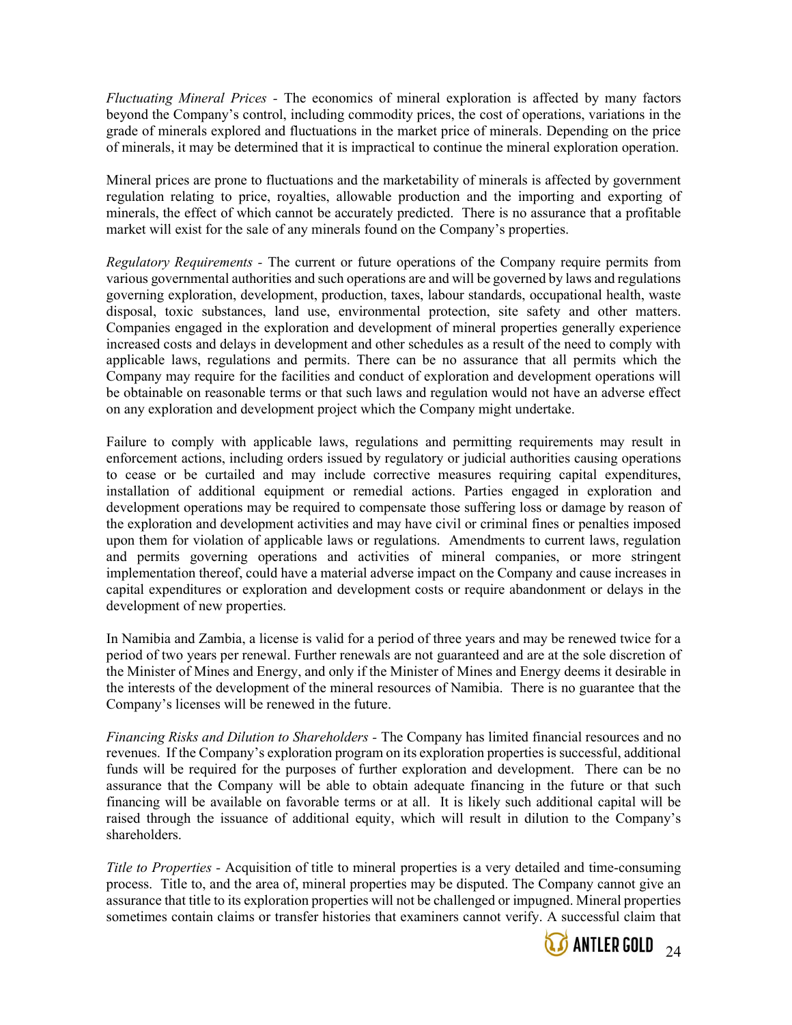Fluctuating Mineral Prices - The economics of mineral exploration is affected by many factors beyond the Company's control, including commodity prices, the cost of operations, variations in the grade of minerals explored and fluctuations in the market price of minerals. Depending on the price of minerals, it may be determined that it is impractical to continue the mineral exploration operation.

Mineral prices are prone to fluctuations and the marketability of minerals is affected by government regulation relating to price, royalties, allowable production and the importing and exporting of minerals, the effect of which cannot be accurately predicted. There is no assurance that a profitable market will exist for the sale of any minerals found on the Company's properties.

Regulatory Requirements - The current or future operations of the Company require permits from various governmental authorities and such operations are and will be governed by laws and regulations governing exploration, development, production, taxes, labour standards, occupational health, waste disposal, toxic substances, land use, environmental protection, site safety and other matters. Companies engaged in the exploration and development of mineral properties generally experience increased costs and delays in development and other schedules as a result of the need to comply with applicable laws, regulations and permits. There can be no assurance that all permits which the Company may require for the facilities and conduct of exploration and development operations will be obtainable on reasonable terms or that such laws and regulation would not have an adverse effect on any exploration and development project which the Company might undertake.

Failure to comply with applicable laws, regulations and permitting requirements may result in enforcement actions, including orders issued by regulatory or judicial authorities causing operations to cease or be curtailed and may include corrective measures requiring capital expenditures, installation of additional equipment or remedial actions. Parties engaged in exploration and development operations may be required to compensate those suffering loss or damage by reason of the exploration and development activities and may have civil or criminal fines or penalties imposed upon them for violation of applicable laws or regulations. Amendments to current laws, regulation and permits governing operations and activities of mineral companies, or more stringent implementation thereof, could have a material adverse impact on the Company and cause increases in capital expenditures or exploration and development costs or require abandonment or delays in the development of new properties.

In Namibia and Zambia, a license is valid for a period of three years and may be renewed twice for a period of two years per renewal. Further renewals are not guaranteed and are at the sole discretion of the Minister of Mines and Energy, and only if the Minister of Mines and Energy deems it desirable in the interests of the development of the mineral resources of Namibia. There is no guarantee that the Company's licenses will be renewed in the future.

Financing Risks and Dilution to Shareholders - The Company has limited financial resources and no revenues. If the Company's exploration program on its exploration properties is successful, additional funds will be required for the purposes of further exploration and development. There can be no assurance that the Company will be able to obtain adequate financing in the future or that such financing will be available on favorable terms or at all. It is likely such additional capital will be raised through the issuance of additional equity, which will result in dilution to the Company's shareholders.

Title to Properties - Acquisition of title to mineral properties is a very detailed and time-consuming process. Title to, and the area of, mineral properties may be disputed. The Company cannot give an assurance that title to its exploration properties will not be challenged or impugned. Mineral properties sometimes contain claims or transfer histories that examiners cannot verify. A successful claim that

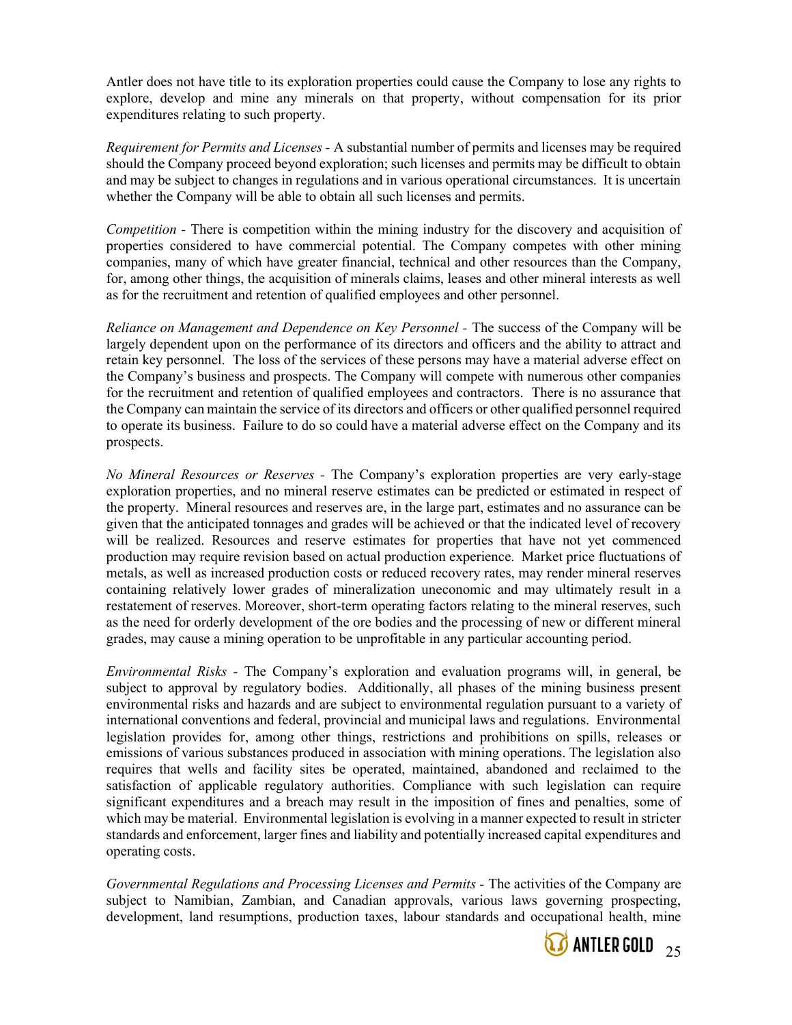Antler does not have title to its exploration properties could cause the Company to lose any rights to explore, develop and mine any minerals on that property, without compensation for its prior expenditures relating to such property.

Requirement for Permits and Licenses - A substantial number of permits and licenses may be required should the Company proceed beyond exploration; such licenses and permits may be difficult to obtain and may be subject to changes in regulations and in various operational circumstances. It is uncertain whether the Company will be able to obtain all such licenses and permits.

Competition - There is competition within the mining industry for the discovery and acquisition of properties considered to have commercial potential. The Company competes with other mining companies, many of which have greater financial, technical and other resources than the Company, for, among other things, the acquisition of minerals claims, leases and other mineral interests as well as for the recruitment and retention of qualified employees and other personnel.

Reliance on Management and Dependence on Key Personnel - The success of the Company will be largely dependent upon on the performance of its directors and officers and the ability to attract and retain key personnel. The loss of the services of these persons may have a material adverse effect on the Company's business and prospects. The Company will compete with numerous other companies for the recruitment and retention of qualified employees and contractors. There is no assurance that the Company can maintain the service of its directors and officers or other qualified personnel required to operate its business. Failure to do so could have a material adverse effect on the Company and its prospects.

No Mineral Resources or Reserves - The Company's exploration properties are very early-stage exploration properties, and no mineral reserve estimates can be predicted or estimated in respect of the property. Mineral resources and reserves are, in the large part, estimates and no assurance can be given that the anticipated tonnages and grades will be achieved or that the indicated level of recovery will be realized. Resources and reserve estimates for properties that have not yet commenced production may require revision based on actual production experience. Market price fluctuations of metals, as well as increased production costs or reduced recovery rates, may render mineral reserves containing relatively lower grades of mineralization uneconomic and may ultimately result in a restatement of reserves. Moreover, short-term operating factors relating to the mineral reserves, such as the need for orderly development of the ore bodies and the processing of new or different mineral grades, may cause a mining operation to be unprofitable in any particular accounting period.

Environmental Risks - The Company's exploration and evaluation programs will, in general, be subject to approval by regulatory bodies. Additionally, all phases of the mining business present environmental risks and hazards and are subject to environmental regulation pursuant to a variety of international conventions and federal, provincial and municipal laws and regulations. Environmental legislation provides for, among other things, restrictions and prohibitions on spills, releases or emissions of various substances produced in association with mining operations. The legislation also requires that wells and facility sites be operated, maintained, abandoned and reclaimed to the satisfaction of applicable regulatory authorities. Compliance with such legislation can require significant expenditures and a breach may result in the imposition of fines and penalties, some of which may be material. Environmental legislation is evolving in a manner expected to result in stricter standards and enforcement, larger fines and liability and potentially increased capital expenditures and operating costs.

Governmental Regulations and Processing Licenses and Permits - The activities of the Company are subject to Namibian, Zambian, and Canadian approvals, various laws governing prospecting, development, land resumptions, production taxes, labour standards and occupational health, mine

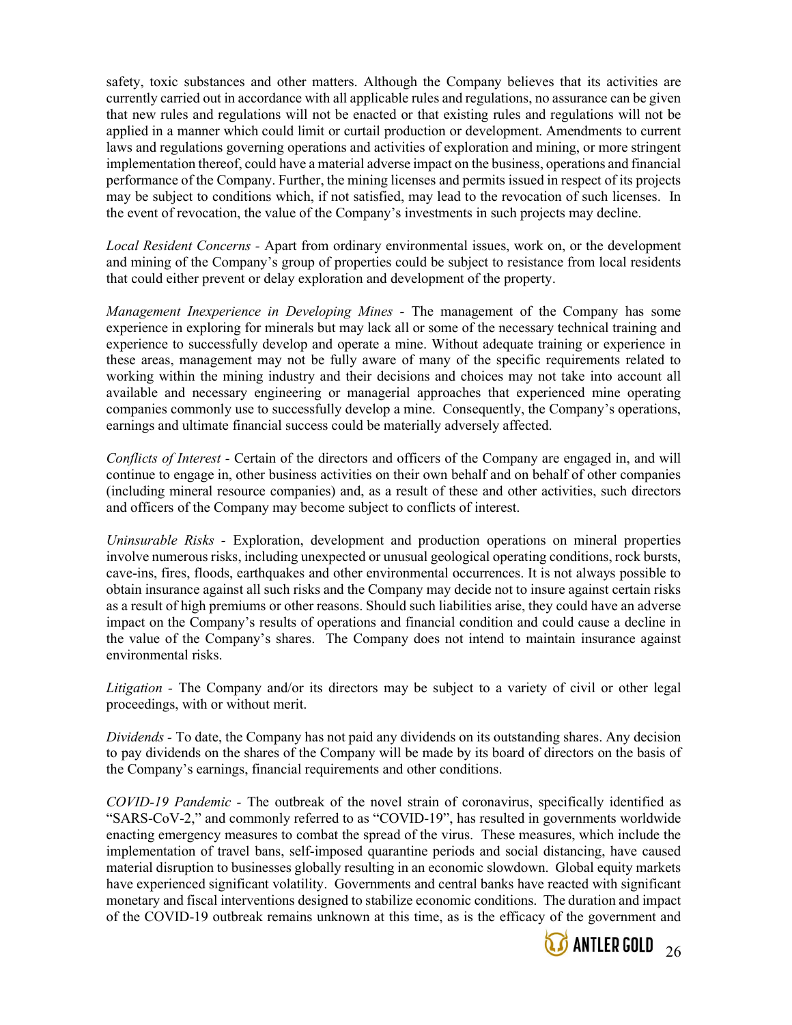safety, toxic substances and other matters. Although the Company believes that its activities are currently carried out in accordance with all applicable rules and regulations, no assurance can be given that new rules and regulations will not be enacted or that existing rules and regulations will not be applied in a manner which could limit or curtail production or development. Amendments to current laws and regulations governing operations and activities of exploration and mining, or more stringent implementation thereof, could have a material adverse impact on the business, operations and financial performance of the Company. Further, the mining licenses and permits issued in respect of its projects may be subject to conditions which, if not satisfied, may lead to the revocation of such licenses. In the event of revocation, the value of the Company's investments in such projects may decline.

Local Resident Concerns - Apart from ordinary environmental issues, work on, or the development and mining of the Company's group of properties could be subject to resistance from local residents that could either prevent or delay exploration and development of the property.

Management Inexperience in Developing Mines - The management of the Company has some experience in exploring for minerals but may lack all or some of the necessary technical training and experience to successfully develop and operate a mine. Without adequate training or experience in these areas, management may not be fully aware of many of the specific requirements related to working within the mining industry and their decisions and choices may not take into account all available and necessary engineering or managerial approaches that experienced mine operating companies commonly use to successfully develop a mine. Consequently, the Company's operations, earnings and ultimate financial success could be materially adversely affected.

Conflicts of Interest - Certain of the directors and officers of the Company are engaged in, and will continue to engage in, other business activities on their own behalf and on behalf of other companies (including mineral resource companies) and, as a result of these and other activities, such directors and officers of the Company may become subject to conflicts of interest.

Uninsurable Risks - Exploration, development and production operations on mineral properties involve numerous risks, including unexpected or unusual geological operating conditions, rock bursts, cave-ins, fires, floods, earthquakes and other environmental occurrences. It is not always possible to obtain insurance against all such risks and the Company may decide not to insure against certain risks as a result of high premiums or other reasons. Should such liabilities arise, they could have an adverse impact on the Company's results of operations and financial condition and could cause a decline in the value of the Company's shares. The Company does not intend to maintain insurance against environmental risks.

Litigation - The Company and/or its directors may be subject to a variety of civil or other legal proceedings, with or without merit.

Dividends - To date, the Company has not paid any dividends on its outstanding shares. Any decision to pay dividends on the shares of the Company will be made by its board of directors on the basis of the Company's earnings, financial requirements and other conditions.

COVID-19 Pandemic - The outbreak of the novel strain of coronavirus, specifically identified as "SARS-CoV-2," and commonly referred to as "COVID-19", has resulted in governments worldwide enacting emergency measures to combat the spread of the virus. These measures, which include the implementation of travel bans, self-imposed quarantine periods and social distancing, have caused material disruption to businesses globally resulting in an economic slowdown. Global equity markets have experienced significant volatility. Governments and central banks have reacted with significant monetary and fiscal interventions designed to stabilize economic conditions. The duration and impact of the COVID-19 outbreak remains unknown at this time, as is the efficacy of the government and